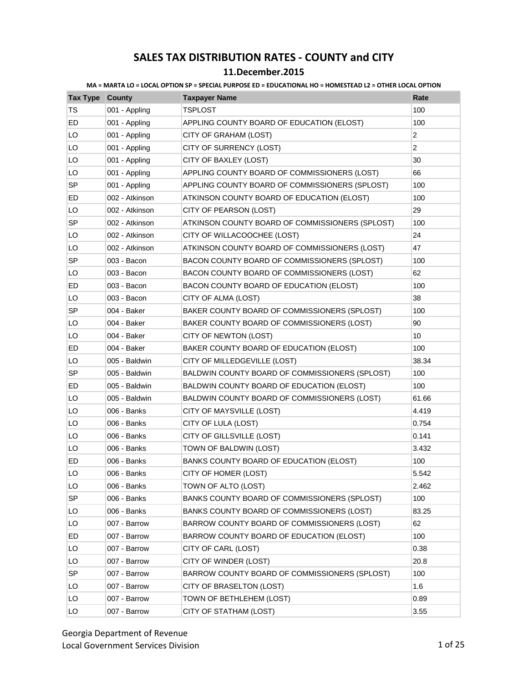|  |  |  | MA = MARTA LO = LOCAL OPTION SP = SPECIAL PURPOSE ED = EDUCATIONAL HO = HOMESTEAD L2 = OTHER LOCAL OPTION |  |  |
|--|--|--|-----------------------------------------------------------------------------------------------------------|--|--|
|  |  |  |                                                                                                           |  |  |

| <b>Tax Type County</b> |                | <b>Taxpayer Name</b>                            | Rate           |
|------------------------|----------------|-------------------------------------------------|----------------|
| <b>TS</b>              | 001 - Appling  | <b>TSPLOST</b>                                  | 100            |
| ED                     | 001 - Appling  | APPLING COUNTY BOARD OF EDUCATION (ELOST)       | 100            |
| LO                     | 001 - Appling  | CITY OF GRAHAM (LOST)                           | $\overline{2}$ |
| LO                     | 001 - Appling  | CITY OF SURRENCY (LOST)                         | $\overline{2}$ |
| LO                     | 001 - Appling  | CITY OF BAXLEY (LOST)                           | 30             |
| LO                     | 001 - Appling  | APPLING COUNTY BOARD OF COMMISSIONERS (LOST)    | 66             |
| <b>SP</b>              | 001 - Appling  | APPLING COUNTY BOARD OF COMMISSIONERS (SPLOST)  | 100            |
| ED                     | 002 - Atkinson | ATKINSON COUNTY BOARD OF EDUCATION (ELOST)      | 100            |
| LO                     | 002 - Atkinson | CITY OF PEARSON (LOST)                          | 29             |
| SP                     | 002 - Atkinson | ATKINSON COUNTY BOARD OF COMMISSIONERS (SPLOST) | 100            |
| LO                     | 002 - Atkinson | CITY OF WILLACOOCHEE (LOST)                     | 24             |
| LO                     | 002 - Atkinson | ATKINSON COUNTY BOARD OF COMMISSIONERS (LOST)   | 47             |
| <b>SP</b>              | 003 - Bacon    | BACON COUNTY BOARD OF COMMISSIONERS (SPLOST)    | 100            |
| LO                     | 003 - Bacon    | BACON COUNTY BOARD OF COMMISSIONERS (LOST)      | 62             |
| ED                     | 003 - Bacon    | BACON COUNTY BOARD OF EDUCATION (ELOST)         | 100            |
| LO                     | 003 - Bacon    | CITY OF ALMA (LOST)                             | 38             |
| SP                     | 004 - Baker    | BAKER COUNTY BOARD OF COMMISSIONERS (SPLOST)    | 100            |
| LO                     | 004 - Baker    | BAKER COUNTY BOARD OF COMMISSIONERS (LOST)      | 90             |
| LO                     | 004 - Baker    | CITY OF NEWTON (LOST)                           | 10             |
| ED                     | 004 - Baker    | BAKER COUNTY BOARD OF EDUCATION (ELOST)         | 100            |
| LO                     | 005 - Baldwin  | CITY OF MILLEDGEVILLE (LOST)                    | 38.34          |
| SP                     | 005 - Baldwin  | BALDWIN COUNTY BOARD OF COMMISSIONERS (SPLOST)  | 100            |
| ED                     | 005 - Baldwin  | BALDWIN COUNTY BOARD OF EDUCATION (ELOST)       | 100            |
| LO                     | 005 - Baldwin  | BALDWIN COUNTY BOARD OF COMMISSIONERS (LOST)    | 61.66          |
| LO                     | 006 - Banks    | CITY OF MAYSVILLE (LOST)                        | 4.419          |
| LO                     | 006 - Banks    | CITY OF LULA (LOST)                             | 0.754          |
| LO                     | 006 - Banks    | CITY OF GILLSVILLE (LOST)                       | 0.141          |
| LO                     | 006 - Banks    | TOWN OF BALDWIN (LOST)                          | 3.432          |
| ED                     | 006 - Banks    | BANKS COUNTY BOARD OF EDUCATION (ELOST)         | 100            |
| LO                     | 006 - Banks    | CITY OF HOMER (LOST)                            | 5.542          |
| LO                     | 006 - Banks    | TOWN OF ALTO (LOST)                             | 2.462          |
| SP                     | 006 - Banks    | BANKS COUNTY BOARD OF COMMISSIONERS (SPLOST)    | 100            |
| LO                     | 006 - Banks    | BANKS COUNTY BOARD OF COMMISSIONERS (LOST)      | 83.25          |
| LO                     | 007 - Barrow   | BARROW COUNTY BOARD OF COMMISSIONERS (LOST)     | 62             |
| ED                     | 007 - Barrow   | BARROW COUNTY BOARD OF EDUCATION (ELOST)        | 100            |
| LO                     | 007 - Barrow   | CITY OF CARL (LOST)                             | 0.38           |
| LO                     | 007 - Barrow   | CITY OF WINDER (LOST)                           | 20.8           |
| <b>SP</b>              | 007 - Barrow   | BARROW COUNTY BOARD OF COMMISSIONERS (SPLOST)   | 100            |
| LO                     | 007 - Barrow   | CITY OF BRASELTON (LOST)                        | 1.6            |
| LO                     | 007 - Barrow   | TOWN OF BETHLEHEM (LOST)                        | 0.89           |
| LO                     | 007 - Barrow   | CITY OF STATHAM (LOST)                          | 3.55           |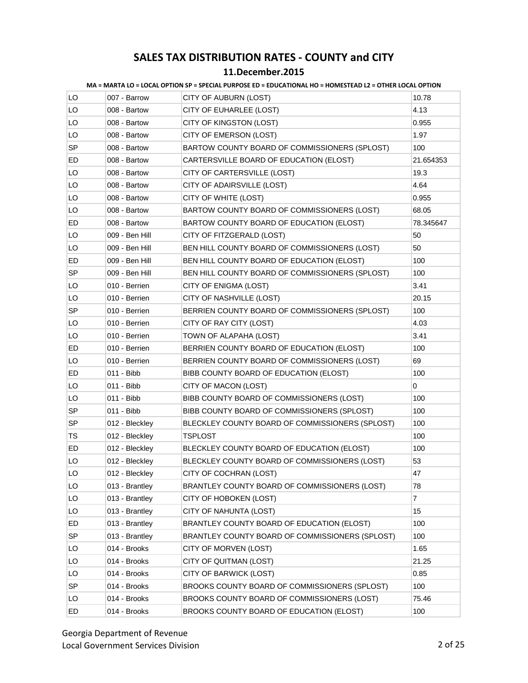|           |                | <u>NIA = MARTA LO = LOCAL OPTION SP = SPECIAL PURPOSE ED = EDUCATIONAL HO = HOMESTEAD LZ = OTHER LOCAL OPTION</u> |                |
|-----------|----------------|-------------------------------------------------------------------------------------------------------------------|----------------|
| LO        | 007 - Barrow   | CITY OF AUBURN (LOST)                                                                                             | 10.78          |
| LO        | 008 - Bartow   | CITY OF EUHARLEE (LOST)                                                                                           | 4.13           |
| LO        | 008 - Bartow   | CITY OF KINGSTON (LOST)                                                                                           | 0.955          |
| LO        | 008 - Bartow   | CITY OF EMERSON (LOST)                                                                                            | 1.97           |
| SP        | 008 - Bartow   | BARTOW COUNTY BOARD OF COMMISSIONERS (SPLOST)                                                                     | 100            |
| ED        | 008 - Bartow   | CARTERSVILLE BOARD OF EDUCATION (ELOST)                                                                           | 21.654353      |
| LO        | 008 - Bartow   | CITY OF CARTERSVILLE (LOST)                                                                                       | 19.3           |
| LO        | 008 - Bartow   | CITY OF ADAIRSVILLE (LOST)                                                                                        | 4.64           |
| LO        | 008 - Bartow   | CITY OF WHITE (LOST)                                                                                              | 0.955          |
| LO        | 008 - Bartow   | BARTOW COUNTY BOARD OF COMMISSIONERS (LOST)                                                                       | 68.05          |
| ED        | 008 - Bartow   | BARTOW COUNTY BOARD OF EDUCATION (ELOST)                                                                          | 78.345647      |
| LO        | 009 - Ben Hill | CITY OF FITZGERALD (LOST)                                                                                         | 50             |
| LO        | 009 - Ben Hill | BEN HILL COUNTY BOARD OF COMMISSIONERS (LOST)                                                                     | 50             |
| ED        | 009 - Ben Hill | BEN HILL COUNTY BOARD OF EDUCATION (ELOST)                                                                        | 100            |
| <b>SP</b> | 009 - Ben Hill | BEN HILL COUNTY BOARD OF COMMISSIONERS (SPLOST)                                                                   | 100            |
| LO        | 010 - Berrien  | CITY OF ENIGMA (LOST)                                                                                             | 3.41           |
| LO        | 010 - Berrien  | CITY OF NASHVILLE (LOST)                                                                                          | 20.15          |
| SP        | 010 - Berrien  | BERRIEN COUNTY BOARD OF COMMISSIONERS (SPLOST)                                                                    | 100            |
| LO        | 010 - Berrien  | CITY OF RAY CITY (LOST)                                                                                           | 4.03           |
| LO        | 010 - Berrien  | TOWN OF ALAPAHA (LOST)                                                                                            | 3.41           |
| ED        | 010 - Berrien  | BERRIEN COUNTY BOARD OF EDUCATION (ELOST)                                                                         | 100            |
| LO        | 010 - Berrien  | BERRIEN COUNTY BOARD OF COMMISSIONERS (LOST)                                                                      | 69             |
| ED        | 011 - Bibb     | BIBB COUNTY BOARD OF EDUCATION (ELOST)                                                                            | 100            |
| LO        | 011 - Bibb     | CITY OF MACON (LOST)                                                                                              | 0              |
| LO        | 011 - Bibb     | BIBB COUNTY BOARD OF COMMISSIONERS (LOST)                                                                         | 100            |
| SP        | 011 - Bibb     | BIBB COUNTY BOARD OF COMMISSIONERS (SPLOST)                                                                       | 100            |
| <b>SP</b> | 012 - Bleckley | BLECKLEY COUNTY BOARD OF COMMISSIONERS (SPLOST)                                                                   | 100            |
| TS        | 012 - Bleckley | <b>TSPLOST</b>                                                                                                    | 100            |
| ED        | 012 - Bleckley | BLECKLEY COUNTY BOARD OF EDUCATION (ELOST)                                                                        | 100            |
| LO        | 012 - Bleckley | BLECKLEY COUNTY BOARD OF COMMISSIONERS (LOST)                                                                     | 53             |
| LO        | 012 - Bleckley | CITY OF COCHRAN (LOST)                                                                                            | 47             |
| LO        | 013 - Brantley | BRANTLEY COUNTY BOARD OF COMMISSIONERS (LOST)                                                                     | 78             |
| LO        | 013 - Brantley | CITY OF HOBOKEN (LOST)                                                                                            | $\overline{7}$ |
| LO        | 013 - Brantley | CITY OF NAHUNTA (LOST)                                                                                            | 15             |
| ED        | 013 - Brantley | BRANTLEY COUNTY BOARD OF EDUCATION (ELOST)                                                                        | 100            |
| <b>SP</b> | 013 - Brantley | BRANTLEY COUNTY BOARD OF COMMISSIONERS (SPLOST)                                                                   | 100            |
| LO        | 014 - Brooks   | CITY OF MORVEN (LOST)                                                                                             | 1.65           |
| LO        | 014 - Brooks   | CITY OF QUITMAN (LOST)                                                                                            | 21.25          |
| LO        | 014 - Brooks   | CITY OF BARWICK (LOST)                                                                                            | 0.85           |
| SP        | 014 - Brooks   | BROOKS COUNTY BOARD OF COMMISSIONERS (SPLOST)                                                                     | 100            |
| LO        | 014 - Brooks   | BROOKS COUNTY BOARD OF COMMISSIONERS (LOST)                                                                       | 75.46          |
| ED        | 014 - Brooks   | BROOKS COUNTY BOARD OF EDUCATION (ELOST)                                                                          | 100            |

**MA = MARTA LO = LOCAL OPTION SP = SPECIAL PURPOSE ED = EDUCATIONAL HO = HOMESTEAD L2 = OTHER LOCAL OPTION**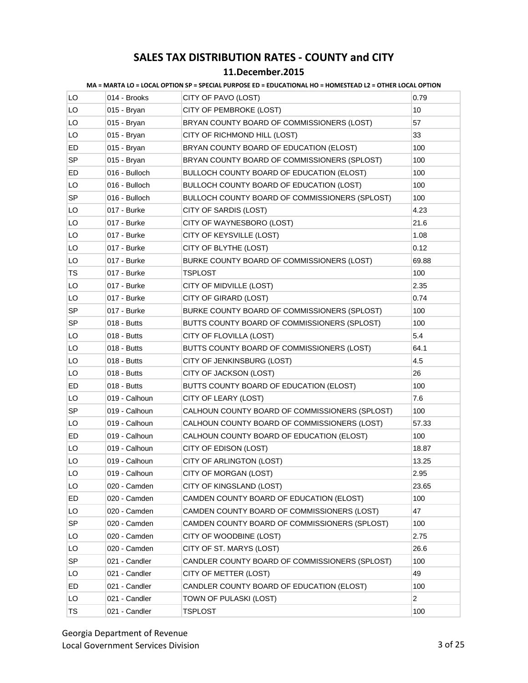|  |  |  | MA = MARTA LO = LOCAL OPTION SP = SPECIAL PURPOSE ED = EDUCATIONAL HO = HOMESTEAD L2 = OTHER LOCAL OPTION |
|--|--|--|-----------------------------------------------------------------------------------------------------------|
|--|--|--|-----------------------------------------------------------------------------------------------------------|

| LO | 014 - Brooks  | CITY OF PAVO (LOST)                            | 0.79           |
|----|---------------|------------------------------------------------|----------------|
| LO | 015 - Bryan   | CITY OF PEMBROKE (LOST)                        | 10             |
| LO | 015 - Bryan   | BRYAN COUNTY BOARD OF COMMISSIONERS (LOST)     | 57             |
| LO | 015 - Bryan   | CITY OF RICHMOND HILL (LOST)                   | 33             |
| ED | 015 - Bryan   | BRYAN COUNTY BOARD OF EDUCATION (ELOST)        | 100            |
| SP | 015 - Bryan   | BRYAN COUNTY BOARD OF COMMISSIONERS (SPLOST)   | 100            |
| ED | 016 - Bulloch | BULLOCH COUNTY BOARD OF EDUCATION (ELOST)      | 100            |
| LO | 016 - Bulloch | BULLOCH COUNTY BOARD OF EDUCATION (LOST)       | 100            |
| SP | 016 - Bulloch | BULLOCH COUNTY BOARD OF COMMISSIONERS (SPLOST) | 100            |
| LO | 017 - Burke   | CITY OF SARDIS (LOST)                          | 4.23           |
| LO | 017 - Burke   | CITY OF WAYNESBORO (LOST)                      | 21.6           |
| LO | 017 - Burke   | CITY OF KEYSVILLE (LOST)                       | 1.08           |
| LO | 017 - Burke   | CITY OF BLYTHE (LOST)                          | 0.12           |
| LO | 017 - Burke   | BURKE COUNTY BOARD OF COMMISSIONERS (LOST)     | 69.88          |
| TS | 017 - Burke   | TSPLOST                                        | 100            |
| LO | 017 - Burke   | CITY OF MIDVILLE (LOST)                        | 2.35           |
| LO | 017 - Burke   | CITY OF GIRARD (LOST)                          | 0.74           |
| SP | 017 - Burke   | BURKE COUNTY BOARD OF COMMISSIONERS (SPLOST)   | 100            |
| SP | 018 - Butts   | BUTTS COUNTY BOARD OF COMMISSIONERS (SPLOST)   | 100            |
| LO | 018 - Butts   | CITY OF FLOVILLA (LOST)                        | 5.4            |
| LO | 018 - Butts   | BUTTS COUNTY BOARD OF COMMISSIONERS (LOST)     | 64.1           |
| LO | 018 - Butts   | CITY OF JENKINSBURG (LOST)                     | 4.5            |
| LO | 018 - Butts   | CITY OF JACKSON (LOST)                         | 26             |
| ED | 018 - Butts   | BUTTS COUNTY BOARD OF EDUCATION (ELOST)        | 100            |
| LO | 019 - Calhoun | CITY OF LEARY (LOST)                           | 7.6            |
| SP | 019 - Calhoun | CALHOUN COUNTY BOARD OF COMMISSIONERS (SPLOST) | 100            |
| LO | 019 - Calhoun | CALHOUN COUNTY BOARD OF COMMISSIONERS (LOST)   | 57.33          |
| ED | 019 - Calhoun | CALHOUN COUNTY BOARD OF EDUCATION (ELOST)      | 100            |
| LO | 019 - Calhoun | CITY OF EDISON (LOST)                          | 18.87          |
| LO | 019 - Calhoun | CITY OF ARLINGTON (LOST)                       | 13.25          |
| LO | 019 - Calhoun | CITY OF MORGAN (LOST)                          | 2.95           |
| LO | 020 - Camden  | CITY OF KINGSLAND (LOST)                       | 23.65          |
| ED | 020 - Camden  | CAMDEN COUNTY BOARD OF EDUCATION (ELOST)       | 100            |
| LO | 020 - Camden  | CAMDEN COUNTY BOARD OF COMMISSIONERS (LOST)    | 47             |
| SP | 020 - Camden  | CAMDEN COUNTY BOARD OF COMMISSIONERS (SPLOST)  | 100            |
| LO | 020 - Camden  | CITY OF WOODBINE (LOST)                        | 2.75           |
| LO | 020 - Camden  | CITY OF ST. MARYS (LOST)                       | 26.6           |
| SP | 021 - Candler | CANDLER COUNTY BOARD OF COMMISSIONERS (SPLOST) | 100            |
| LO | 021 - Candler | CITY OF METTER (LOST)                          | 49             |
| ED | 021 - Candler | CANDLER COUNTY BOARD OF EDUCATION (ELOST)      | 100            |
| LO | 021 - Candler | TOWN OF PULASKI (LOST)                         | $\overline{c}$ |
| TS | 021 - Candler | TSPLOST                                        | 100            |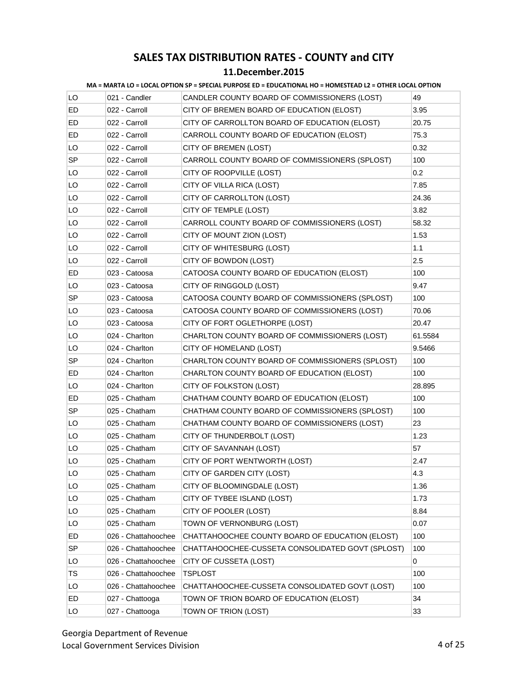#### **11.December.2015**

|           |                     | MA = MARTA LO = LOCAL OPTION SP = SPECIAL PURPOSE ED = EDUCATIONAL HO = HOMESTEAD LZ = OTHER LOCAL OPTION |         |
|-----------|---------------------|-----------------------------------------------------------------------------------------------------------|---------|
| LO        | 021 - Candler       | CANDLER COUNTY BOARD OF COMMISSIONERS (LOST)                                                              | 49      |
| ED        | 022 - Carroll       | CITY OF BREMEN BOARD OF EDUCATION (ELOST)                                                                 | 3.95    |
| ED        | 022 - Carroll       | CITY OF CARROLLTON BOARD OF EDUCATION (ELOST)                                                             | 20.75   |
| ED        | 022 - Carroll       | CARROLL COUNTY BOARD OF EDUCATION (ELOST)                                                                 | 75.3    |
| LO        | 022 - Carroll       | CITY OF BREMEN (LOST)                                                                                     | 0.32    |
| SP.       | 022 - Carroll       | CARROLL COUNTY BOARD OF COMMISSIONERS (SPLOST)                                                            | 100     |
| LO        | 022 - Carroll       | CITY OF ROOPVILLE (LOST)                                                                                  | 0.2     |
| LO        | 022 - Carroll       | CITY OF VILLA RICA (LOST)                                                                                 | 7.85    |
| LO        | 022 - Carroll       | CITY OF CARROLLTON (LOST)                                                                                 | 24.36   |
| LO        | 022 - Carroll       | CITY OF TEMPLE (LOST)                                                                                     | 3.82    |
| LO        | 022 - Carroll       | CARROLL COUNTY BOARD OF COMMISSIONERS (LOST)                                                              | 58.32   |
| LO        | 022 - Carroll       | CITY OF MOUNT ZION (LOST)                                                                                 | 1.53    |
| LO        | 022 - Carroll       | CITY OF WHITESBURG (LOST)                                                                                 | 1.1     |
| LO        | 022 - Carroll       | CITY OF BOWDON (LOST)                                                                                     | 2.5     |
| ED        | 023 - Catoosa       | CATOOSA COUNTY BOARD OF EDUCATION (ELOST)                                                                 | 100     |
| LO        | 023 - Catoosa       | CITY OF RINGGOLD (LOST)                                                                                   | 9.47    |
| SP        | 023 - Catoosa       | CATOOSA COUNTY BOARD OF COMMISSIONERS (SPLOST)                                                            | 100     |
| LO        | 023 - Catoosa       | CATOOSA COUNTY BOARD OF COMMISSIONERS (LOST)                                                              | 70.06   |
| LO        | 023 - Catoosa       | CITY OF FORT OGLETHORPE (LOST)                                                                            | 20.47   |
| LO        | 024 - Charlton      | CHARLTON COUNTY BOARD OF COMMISSIONERS (LOST)                                                             | 61.5584 |
| LO        | 024 - Charlton      | CITY OF HOMELAND (LOST)                                                                                   | 9.5466  |
| <b>SP</b> | 024 - Charlton      | CHARLTON COUNTY BOARD OF COMMISSIONERS (SPLOST)                                                           | 100     |
| ED        | 024 - Charlton      | CHARLTON COUNTY BOARD OF EDUCATION (ELOST)                                                                | 100     |
| LO        | 024 - Charlton      | CITY OF FOLKSTON (LOST)                                                                                   | 28.895  |
| ED        | 025 - Chatham       | CHATHAM COUNTY BOARD OF EDUCATION (ELOST)                                                                 | 100     |
| SP        | 025 - Chatham       | CHATHAM COUNTY BOARD OF COMMISSIONERS (SPLOST)                                                            | 100     |
| LO        | 025 - Chatham       | CHATHAM COUNTY BOARD OF COMMISSIONERS (LOST)                                                              | 23      |
| LO        | 025 - Chatham       | CITY OF THUNDERBOLT (LOST)                                                                                | 1.23    |
| LO        | 025 - Chatham       | CITY OF SAVANNAH (LOST)                                                                                   | 57      |
| LO        | 025 - Chatham       | CITY OF PORT WENTWORTH (LOST)                                                                             | 2.47    |
| LO        | 025 - Chatham       | CITY OF GARDEN CITY (LOST)                                                                                | 4.3     |
| LO        | 025 - Chatham       | CITY OF BLOOMINGDALE (LOST)                                                                               | 1.36    |
| LO        | 025 - Chatham       | CITY OF TYBEE ISLAND (LOST)                                                                               | 1.73    |
| LO        | 025 - Chatham       | CITY OF POOLER (LOST)                                                                                     | 8.84    |
| LO        | 025 - Chatham       | TOWN OF VERNONBURG (LOST)                                                                                 | 0.07    |
| ED        | 026 - Chattahoochee | CHATTAHOOCHEE COUNTY BOARD OF EDUCATION (ELOST)                                                           | 100     |
| <b>SP</b> | 026 - Chattahoochee | CHATTAHOOCHEE-CUSSETA CONSOLIDATED GOVT (SPLOST)                                                          | 100     |
| LO        | 026 - Chattahoochee | CITY OF CUSSETA (LOST)                                                                                    | 0       |
| TS        | 026 - Chattahoochee | <b>TSPLOST</b>                                                                                            | 100     |
| LO        | 026 - Chattahoochee | CHATTAHOOCHEE-CUSSETA CONSOLIDATED GOVT (LOST)                                                            | 100     |
| ED        | 027 - Chattooga     | TOWN OF TRION BOARD OF EDUCATION (ELOST)                                                                  | 34      |
| LO        | 027 - Chattooga     | TOWN OF TRION (LOST)                                                                                      | 33      |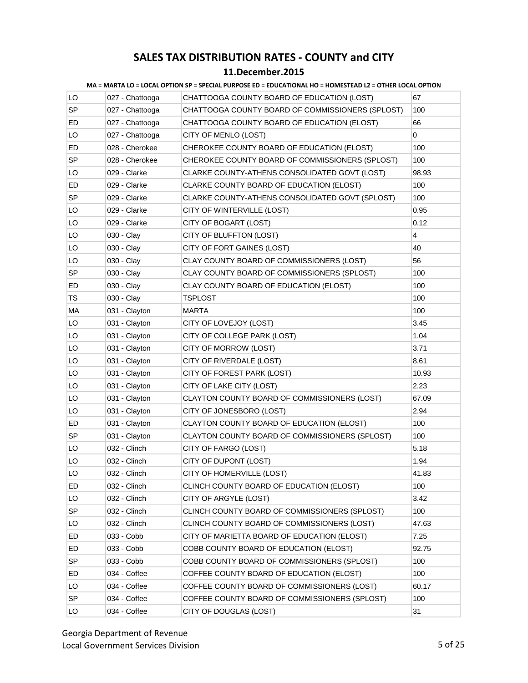| LO        | 027 - Chattooga | CHATTOOGA COUNTY BOARD OF EDUCATION (LOST)       | 67                      |
|-----------|-----------------|--------------------------------------------------|-------------------------|
| SP        | 027 - Chattooga | CHATTOOGA COUNTY BOARD OF COMMISSIONERS (SPLOST) | 100                     |
| ED        | 027 - Chattooga | CHATTOOGA COUNTY BOARD OF EDUCATION (ELOST)      | 66                      |
| LO        | 027 - Chattooga | CITY OF MENLO (LOST)                             | 0                       |
| ED        | 028 - Cherokee  | CHEROKEE COUNTY BOARD OF EDUCATION (ELOST)       | 100                     |
| <b>SP</b> | 028 - Cherokee  | CHEROKEE COUNTY BOARD OF COMMISSIONERS (SPLOST)  | 100                     |
| LO        | 029 - Clarke    | CLARKE COUNTY-ATHENS CONSOLIDATED GOVT (LOST)    | 98.93                   |
| ED        | 029 - Clarke    | CLARKE COUNTY BOARD OF EDUCATION (ELOST)         | 100                     |
| SP        | 029 - Clarke    | CLARKE COUNTY-ATHENS CONSOLIDATED GOVT (SPLOST)  | 100                     |
| LO        | 029 - Clarke    | CITY OF WINTERVILLE (LOST)                       | 0.95                    |
| LO        | 029 - Clarke    | CITY OF BOGART (LOST)                            | 0.12                    |
| LO        | 030 - Clay      | CITY OF BLUFFTON (LOST)                          | $\overline{\mathbf{4}}$ |
| LO        | 030 - Clay      | CITY OF FORT GAINES (LOST)                       | 40                      |
| LO        | 030 - Clay      | CLAY COUNTY BOARD OF COMMISSIONERS (LOST)        | 56                      |
| SP        | 030 - Clay      | CLAY COUNTY BOARD OF COMMISSIONERS (SPLOST)      | 100                     |
| ED        | 030 - Clay      | CLAY COUNTY BOARD OF EDUCATION (ELOST)           | 100                     |
| TS        | 030 - Clay      | TSPLOST                                          | 100                     |
| MA        | 031 - Clayton   | MARTA                                            | 100                     |
| LO        | 031 - Clayton   | CITY OF LOVEJOY (LOST)                           | 3.45                    |
| LO        | 031 - Clayton   | CITY OF COLLEGE PARK (LOST)                      | 1.04                    |
| LO        | 031 - Clayton   | CITY OF MORROW (LOST)                            | 3.71                    |
| LO        | 031 - Clayton   | CITY OF RIVERDALE (LOST)                         | 8.61                    |
| LO        | 031 - Clayton   | CITY OF FOREST PARK (LOST)                       | 10.93                   |
| LO        | 031 - Clayton   | CITY OF LAKE CITY (LOST)                         | 2.23                    |
| LO        | 031 - Clayton   | CLAYTON COUNTY BOARD OF COMMISSIONERS (LOST)     | 67.09                   |
| LO        | 031 - Clayton   | CITY OF JONESBORO (LOST)                         | 2.94                    |
| ED        | 031 - Clayton   | CLAYTON COUNTY BOARD OF EDUCATION (ELOST)        | 100                     |
| SP        | 031 - Clayton   | CLAYTON COUNTY BOARD OF COMMISSIONERS (SPLOST)   | 100                     |
| LO        | 032 - Clinch    | CITY OF FARGO (LOST)                             | 5.18                    |
| LO        | 032 - Clinch    | CITY OF DUPONT (LOST)                            | 1.94                    |
| LO        | 032 - Clinch    | CITY OF HOMERVILLE (LOST)                        | 41.83                   |
| ED        | 032 - Clinch    | CLINCH COUNTY BOARD OF EDUCATION (ELOST)         | 100                     |
| LO        | 032 - Clinch    | CITY OF ARGYLE (LOST)                            | 3.42                    |
| SP        | 032 - Clinch    | CLINCH COUNTY BOARD OF COMMISSIONERS (SPLOST)    | 100                     |
| LO        | 032 - Clinch    | CLINCH COUNTY BOARD OF COMMISSIONERS (LOST)      | 47.63                   |
| ED        | 033 - Cobb      | CITY OF MARIETTA BOARD OF EDUCATION (ELOST)      | 7.25                    |
| ED        | 033 - Cobb      | COBB COUNTY BOARD OF EDUCATION (ELOST)           | 92.75                   |
| <b>SP</b> | 033 - Cobb      | COBB COUNTY BOARD OF COMMISSIONERS (SPLOST)      | 100                     |
| ED        | 034 - Coffee    | COFFEE COUNTY BOARD OF EDUCATION (ELOST)         | 100                     |
| LO        | 034 - Coffee    | COFFEE COUNTY BOARD OF COMMISSIONERS (LOST)      | 60.17                   |
| SP        | 034 - Coffee    | COFFEE COUNTY BOARD OF COMMISSIONERS (SPLOST)    | 100                     |
| LO        | 034 - Coffee    | CITY OF DOUGLAS (LOST)                           | 31                      |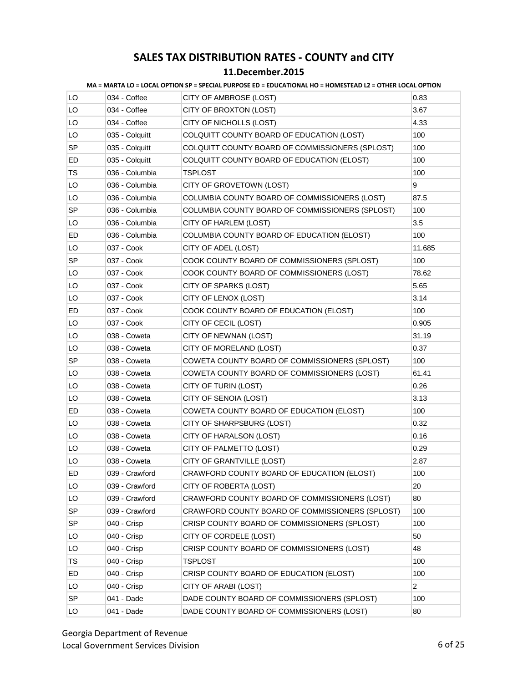#### **11.December.2015**

|           |                | MA = MARTA LO = LOCAL OPTION SP = SPECIAL PURPOSE ED = EDUCATIONAL HO = HOMESTEAD L2 = OTHER LOCAL OPTION |                |
|-----------|----------------|-----------------------------------------------------------------------------------------------------------|----------------|
| LO        | 034 - Coffee   | CITY OF AMBROSE (LOST)                                                                                    | 0.83           |
| LO        | 034 - Coffee   | CITY OF BROXTON (LOST)                                                                                    | 3.67           |
| LO        | 034 - Coffee   | CITY OF NICHOLLS (LOST)                                                                                   | 4.33           |
| LO        | 035 - Colquitt | COLQUITT COUNTY BOARD OF EDUCATION (LOST)                                                                 | 100            |
| SP        | 035 - Colquitt | COLQUITT COUNTY BOARD OF COMMISSIONERS (SPLOST)                                                           | 100            |
| ED        | 035 - Colquitt | COLQUITT COUNTY BOARD OF EDUCATION (ELOST)                                                                | 100            |
| TS        | 036 - Columbia | <b>TSPLOST</b>                                                                                            | 100            |
| LO        | 036 - Columbia | CITY OF GROVETOWN (LOST)                                                                                  | 9              |
| LO.       | 036 - Columbia | COLUMBIA COUNTY BOARD OF COMMISSIONERS (LOST)                                                             | 87.5           |
| <b>SP</b> | 036 - Columbia | COLUMBIA COUNTY BOARD OF COMMISSIONERS (SPLOST)                                                           | 100            |
| LO.       | 036 - Columbia | CITY OF HARLEM (LOST)                                                                                     | 3.5            |
| ED        | 036 - Columbia | COLUMBIA COUNTY BOARD OF EDUCATION (ELOST)                                                                | 100            |
| LO        | 037 - Cook     | CITY OF ADEL (LOST)                                                                                       | 11.685         |
| <b>SP</b> | 037 - Cook     | COOK COUNTY BOARD OF COMMISSIONERS (SPLOST)                                                               | 100            |
| LO        | 037 - Cook     | COOK COUNTY BOARD OF COMMISSIONERS (LOST)                                                                 | 78.62          |
| LO        | 037 - Cook     | CITY OF SPARKS (LOST)                                                                                     | 5.65           |
| LO        | 037 - Cook     | CITY OF LENOX (LOST)                                                                                      | 3.14           |
| ED        | 037 - Cook     | COOK COUNTY BOARD OF EDUCATION (ELOST)                                                                    | 100            |
| LO        | 037 - Cook     | CITY OF CECIL (LOST)                                                                                      | 0.905          |
| LO        | 038 - Coweta   | CITY OF NEWNAN (LOST)                                                                                     | 31.19          |
| LO        | 038 - Coweta   | CITY OF MORELAND (LOST)                                                                                   | 0.37           |
| SP        | 038 - Coweta   | COWETA COUNTY BOARD OF COMMISSIONERS (SPLOST)                                                             | 100            |
| LO        | 038 - Coweta   | COWETA COUNTY BOARD OF COMMISSIONERS (LOST)                                                               | 61.41          |
| LO        | 038 - Coweta   | CITY OF TURIN (LOST)                                                                                      | 0.26           |
| LO        | 038 - Coweta   | CITY OF SENOIA (LOST)                                                                                     | 3.13           |
| ED        | 038 - Coweta   | COWETA COUNTY BOARD OF EDUCATION (ELOST)                                                                  | 100            |
| LO        | 038 - Coweta   | CITY OF SHARPSBURG (LOST)                                                                                 | 0.32           |
| LO        | 038 - Coweta   | CITY OF HARALSON (LOST)                                                                                   | 0.16           |
| LO        | 038 - Coweta   | CITY OF PALMETTO (LOST)                                                                                   | 0.29           |
| LO        | 038 - Coweta   | CITY OF GRANTVILLE (LOST)                                                                                 | 2.87           |
| ED        | 039 - Crawford | CRAWFORD COUNTY BOARD OF EDUCATION (ELOST)                                                                | 100            |
| LO        | 039 - Crawford | CITY OF ROBERTA (LOST)                                                                                    | 20             |
| LO        | 039 - Crawford | CRAWFORD COUNTY BOARD OF COMMISSIONERS (LOST)                                                             | 80             |
| SP        | 039 - Crawford | CRAWFORD COUNTY BOARD OF COMMISSIONERS (SPLOST)                                                           | 100            |
| SP        | 040 - Crisp    | CRISP COUNTY BOARD OF COMMISSIONERS (SPLOST)                                                              | 100            |
| LO        | 040 - Crisp    | CITY OF CORDELE (LOST)                                                                                    | 50             |
| LO        | 040 - Crisp    | CRISP COUNTY BOARD OF COMMISSIONERS (LOST)                                                                | 48             |
| TS        | 040 - Crisp    | <b>TSPLOST</b>                                                                                            | 100            |
| ED        | 040 - Crisp    | CRISP COUNTY BOARD OF EDUCATION (ELOST)                                                                   | 100            |
| LO        | 040 - Crisp    | CITY OF ARABI (LOST)                                                                                      | $\overline{2}$ |
| <b>SP</b> | 041 - Dade     | DADE COUNTY BOARD OF COMMISSIONERS (SPLOST)                                                               | 100            |
| LO        | 041 - Dade     | DADE COUNTY BOARD OF COMMISSIONERS (LOST)                                                                 | 80             |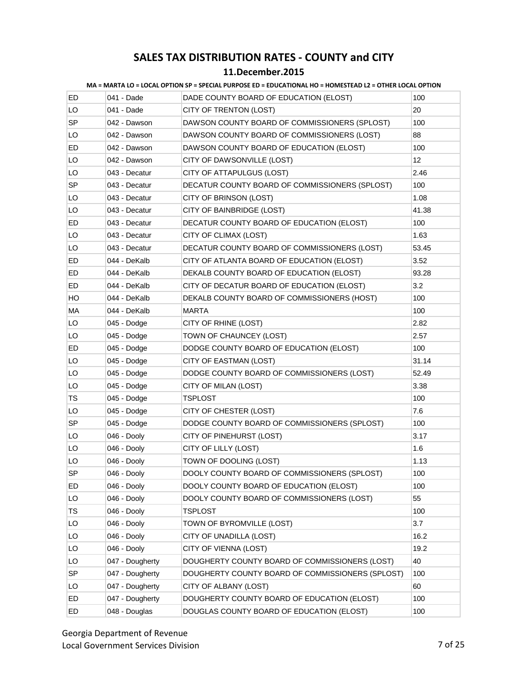| MA = MARTA LO = LOCAL OPTION SP = SPECIAL PURPOSE ED = EDUCATIONAL HO = HOMESTEAD L2 = OTHER LOCAL OPTION |  |  |
|-----------------------------------------------------------------------------------------------------------|--|--|
|                                                                                                           |  |  |
|                                                                                                           |  |  |

| ED        | 041 - Dade      | DADE COUNTY BOARD OF EDUCATION (ELOST)           | 100   |
|-----------|-----------------|--------------------------------------------------|-------|
| LO        | 041 - Dade      | CITY OF TRENTON (LOST)                           | 20    |
| SP        | 042 - Dawson    | DAWSON COUNTY BOARD OF COMMISSIONERS (SPLOST)    | 100   |
| LO        | 042 - Dawson    | DAWSON COUNTY BOARD OF COMMISSIONERS (LOST)      | 88    |
| ED        | 042 - Dawson    | DAWSON COUNTY BOARD OF EDUCATION (ELOST)         | 100   |
| LO        | 042 - Dawson    | CITY OF DAWSONVILLE (LOST)                       | 12    |
| LO        | 043 - Decatur   | CITY OF ATTAPULGUS (LOST)                        | 2.46  |
| <b>SP</b> | 043 - Decatur   | DECATUR COUNTY BOARD OF COMMISSIONERS (SPLOST)   | 100   |
| LO        | 043 - Decatur   | CITY OF BRINSON (LOST)                           | 1.08  |
| LO        | 043 - Decatur   | CITY OF BAINBRIDGE (LOST)                        | 41.38 |
| ED        | 043 - Decatur   | DECATUR COUNTY BOARD OF EDUCATION (ELOST)        | 100   |
| LO        | 043 - Decatur   | CITY OF CLIMAX (LOST)                            | 1.63  |
| LO        | 043 - Decatur   | DECATUR COUNTY BOARD OF COMMISSIONERS (LOST)     | 53.45 |
| ED        | 044 - DeKalb    | CITY OF ATLANTA BOARD OF EDUCATION (ELOST)       | 3.52  |
| ED        | 044 - DeKalb    | DEKALB COUNTY BOARD OF EDUCATION (ELOST)         | 93.28 |
| ED        | 044 - DeKalb    | CITY OF DECATUR BOARD OF EDUCATION (ELOST)       | 3.2   |
| HO.       | 044 - DeKalb    | DEKALB COUNTY BOARD OF COMMISSIONERS (HOST)      | 100   |
| МA        | 044 - DeKalb    | <b>MARTA</b>                                     | 100   |
| LO        | 045 - Dodge     | CITY OF RHINE (LOST)                             | 2.82  |
| LO        | 045 - Dodge     | TOWN OF CHAUNCEY (LOST)                          | 2.57  |
| ED        | 045 - Dodge     | DODGE COUNTY BOARD OF EDUCATION (ELOST)          | 100   |
| LO        | 045 - Dodge     | CITY OF EASTMAN (LOST)                           | 31.14 |
| LO        | 045 - Dodge     | DODGE COUNTY BOARD OF COMMISSIONERS (LOST)       | 52.49 |
| LO        | 045 - Dodge     | CITY OF MILAN (LOST)                             | 3.38  |
| TS        | 045 - Dodge     | TSPLOST                                          | 100   |
| LO        | 045 - Dodge     | CITY OF CHESTER (LOST)                           | 7.6   |
| <b>SP</b> | 045 - Dodge     | DODGE COUNTY BOARD OF COMMISSIONERS (SPLOST)     | 100   |
| LO        | 046 - Dooly     | CITY OF PINEHURST (LOST)                         | 3.17  |
| LO        | 046 - Dooly     | CITY OF LILLY (LOST)                             | 1.6   |
| LO        | 046 - Dooly     | TOWN OF DOOLING (LOST)                           | 1.13  |
| <b>SP</b> | 046 - Dooly     | DOOLY COUNTY BOARD OF COMMISSIONERS (SPLOST)     | 100   |
| ED        | 046 - Dooly     | DOOLY COUNTY BOARD OF EDUCATION (ELOST)          | 100   |
| LO        | 046 - Dooly     | DOOLY COUNTY BOARD OF COMMISSIONERS (LOST)       | 55    |
| TS        | 046 - Dooly     | <b>TSPLOST</b>                                   | 100   |
| LO        | 046 - Dooly     | TOWN OF BYROMVILLE (LOST)                        | 3.7   |
| LO        | 046 - Dooly     | CITY OF UNADILLA (LOST)                          | 16.2  |
| LO        | 046 - Dooly     | CITY OF VIENNA (LOST)                            | 19.2  |
| LO        | 047 - Dougherty | DOUGHERTY COUNTY BOARD OF COMMISSIONERS (LOST)   | 40    |
| SP        | 047 - Dougherty | DOUGHERTY COUNTY BOARD OF COMMISSIONERS (SPLOST) | 100   |
| LO        | 047 - Dougherty | CITY OF ALBANY (LOST)                            | 60    |
| ED        | 047 - Dougherty | DOUGHERTY COUNTY BOARD OF EDUCATION (ELOST)      | 100   |
| ED        | 048 - Douglas   | DOUGLAS COUNTY BOARD OF EDUCATION (ELOST)        | 100   |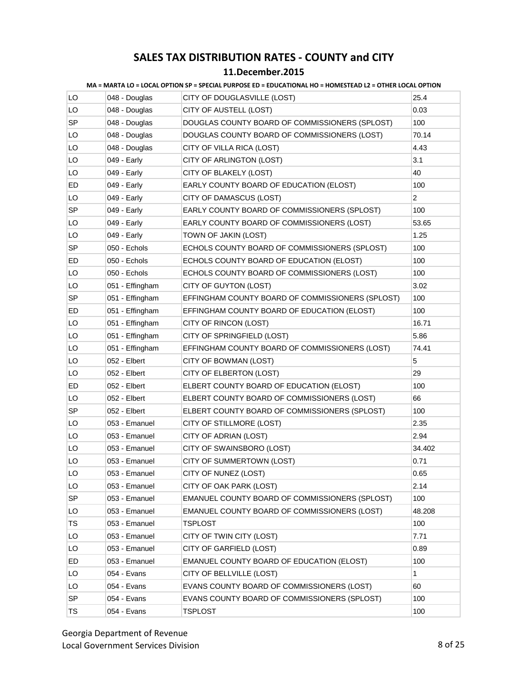|           |                 | MA = MARTA LO = LOCAL OPTION SP = SPECIAL PURPOSE ED = EDUCATIONAL HO = HOMESTEAD LZ = OTHER LOCAL OPTION |                |
|-----------|-----------------|-----------------------------------------------------------------------------------------------------------|----------------|
| LO        | 048 - Douglas   | CITY OF DOUGLASVILLE (LOST)                                                                               | 25.4           |
| LO        | 048 - Douglas   | CITY OF AUSTELL (LOST)                                                                                    | 0.03           |
| <b>SP</b> | 048 - Douglas   | DOUGLAS COUNTY BOARD OF COMMISSIONERS (SPLOST)                                                            | 100            |
| LO        | 048 - Douglas   | DOUGLAS COUNTY BOARD OF COMMISSIONERS (LOST)                                                              | 70.14          |
| LO        | 048 - Douglas   | CITY OF VILLA RICA (LOST)                                                                                 | 4.43           |
| LO        | 049 - Early     | CITY OF ARLINGTON (LOST)                                                                                  | 3.1            |
| LO        | 049 - Early     | CITY OF BLAKELY (LOST)                                                                                    | 40             |
| ED        | 049 - Early     | EARLY COUNTY BOARD OF EDUCATION (ELOST)                                                                   | 100            |
| LO        | 049 - Early     | CITY OF DAMASCUS (LOST)                                                                                   | $\overline{2}$ |
| SP        | 049 - Early     | EARLY COUNTY BOARD OF COMMISSIONERS (SPLOST)                                                              | 100            |
| LO        | 049 - Early     | EARLY COUNTY BOARD OF COMMISSIONERS (LOST)                                                                | 53.65          |
| LO        | 049 - Early     | TOWN OF JAKIN (LOST)                                                                                      | 1.25           |
| <b>SP</b> | 050 - Echols    | ECHOLS COUNTY BOARD OF COMMISSIONERS (SPLOST)                                                             | 100            |
| ED        | 050 - Echols    | ECHOLS COUNTY BOARD OF EDUCATION (ELOST)                                                                  | 100            |
| LO        | 050 - Echols    | ECHOLS COUNTY BOARD OF COMMISSIONERS (LOST)                                                               | 100            |
| LO        | 051 - Effingham | CITY OF GUYTON (LOST)                                                                                     | 3.02           |
| SP        | 051 - Effingham | EFFINGHAM COUNTY BOARD OF COMMISSIONERS (SPLOST)                                                          | 100            |
| ED        | 051 - Effingham | EFFINGHAM COUNTY BOARD OF EDUCATION (ELOST)                                                               | 100            |
| LO        | 051 - Effingham | CITY OF RINCON (LOST)                                                                                     | 16.71          |
| LO        | 051 - Effingham | CITY OF SPRINGFIELD (LOST)                                                                                | 5.86           |
| LO        | 051 - Effingham | EFFINGHAM COUNTY BOARD OF COMMISSIONERS (LOST)                                                            | 74.41          |
| LO        | 052 - Elbert    | CITY OF BOWMAN (LOST)                                                                                     | 5              |
| LO        | 052 - Elbert    | CITY OF ELBERTON (LOST)                                                                                   | 29             |
| ED        | 052 - Elbert    | ELBERT COUNTY BOARD OF EDUCATION (ELOST)                                                                  | 100            |
| LO        | 052 - Elbert    | ELBERT COUNTY BOARD OF COMMISSIONERS (LOST)                                                               | 66             |
| <b>SP</b> | 052 - Elbert    | ELBERT COUNTY BOARD OF COMMISSIONERS (SPLOST)                                                             | 100            |
| LO        | 053 - Emanuel   | CITY OF STILLMORE (LOST)                                                                                  | 2.35           |
| LO        | 053 - Emanuel   | CITY OF ADRIAN (LOST)                                                                                     | 2.94           |
| LO        | 053 - Emanuel   | CITY OF SWAINSBORO (LOST)                                                                                 | 34.402         |
| LO        | 053 - Emanuel   | CITY OF SUMMERTOWN (LOST)                                                                                 | 0.71           |
| LO        | 053 - Emanuel   | CITY OF NUNEZ (LOST)                                                                                      | 0.65           |
| LO.       | 053 - Emanuel   | CITY OF OAK PARK (LOST)                                                                                   | 2.14           |
| SP        | 053 - Emanuel   | EMANUEL COUNTY BOARD OF COMMISSIONERS (SPLOST)                                                            | 100            |
| LO        | 053 - Emanuel   | EMANUEL COUNTY BOARD OF COMMISSIONERS (LOST)                                                              | 48.208         |
| TS        | 053 - Emanuel   | <b>TSPLOST</b>                                                                                            | 100            |
| LO        | 053 - Emanuel   | CITY OF TWIN CITY (LOST)                                                                                  | 7.71           |
| LO        | 053 - Emanuel   | CITY OF GARFIELD (LOST)                                                                                   | 0.89           |
| ED        | 053 - Emanuel   | EMANUEL COUNTY BOARD OF EDUCATION (ELOST)                                                                 | 100            |
| LO        | 054 - Evans     | CITY OF BELLVILLE (LOST)                                                                                  | 1              |
| LO        | 054 - Evans     | EVANS COUNTY BOARD OF COMMISSIONERS (LOST)                                                                | 60             |
| SP        | 054 - Evans     | EVANS COUNTY BOARD OF COMMISSIONERS (SPLOST)                                                              | 100            |
| TS        | 054 - Evans     | <b>TSPLOST</b>                                                                                            | 100            |
|           |                 |                                                                                                           |                |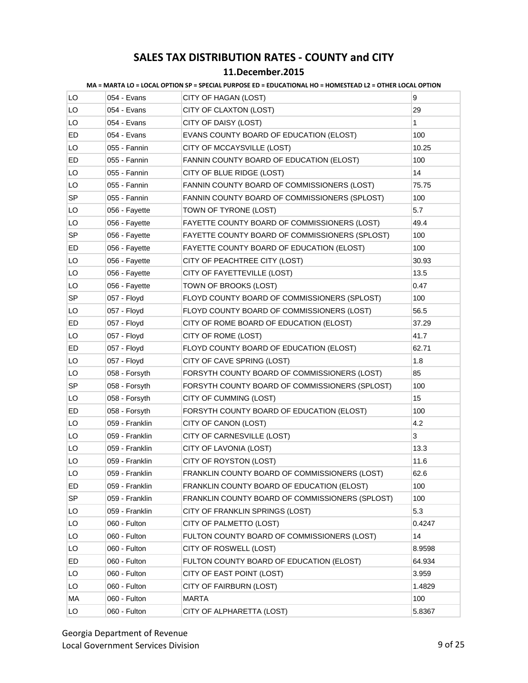|           |                | <u>IVIA = IVIARTA LU = LUCAL UPTIUN SP = SPECIAL PURPOSE ED = EDUCATIUNAL NO = NUIVIESTEAD LZ = UTNER LUCAL UPTIUN</u> |        |
|-----------|----------------|------------------------------------------------------------------------------------------------------------------------|--------|
| LO        | 054 - Evans    | CITY OF HAGAN (LOST)                                                                                                   | 9      |
| LO        | 054 - Evans    | CITY OF CLAXTON (LOST)                                                                                                 | 29     |
| LO        | 054 - Evans    | CITY OF DAISY (LOST)                                                                                                   | 1      |
| ED        | 054 - Evans    | EVANS COUNTY BOARD OF EDUCATION (ELOST)                                                                                | 100    |
| LO        | 055 - Fannin   | CITY OF MCCAYSVILLE (LOST)                                                                                             | 10.25  |
| ED        | 055 - Fannin   | FANNIN COUNTY BOARD OF EDUCATION (ELOST)                                                                               | 100    |
| LO        | 055 - Fannin   | CITY OF BLUE RIDGE (LOST)                                                                                              | 14     |
| LO        | 055 - Fannin   | FANNIN COUNTY BOARD OF COMMISSIONERS (LOST)                                                                            | 75.75  |
| SP        | 055 - Fannin   | FANNIN COUNTY BOARD OF COMMISSIONERS (SPLOST)                                                                          | 100    |
| LO        | 056 - Fayette  | TOWN OF TYRONE (LOST)                                                                                                  | 5.7    |
| LO        | 056 - Fayette  | FAYETTE COUNTY BOARD OF COMMISSIONERS (LOST)                                                                           | 49.4   |
| SP        | 056 - Fayette  | FAYETTE COUNTY BOARD OF COMMISSIONERS (SPLOST)                                                                         | 100    |
| ED        | 056 - Fayette  | FAYETTE COUNTY BOARD OF EDUCATION (ELOST)                                                                              | 100    |
| LO        | 056 - Fayette  | CITY OF PEACHTREE CITY (LOST)                                                                                          | 30.93  |
| LO        | 056 - Fayette  | CITY OF FAYETTEVILLE (LOST)                                                                                            | 13.5   |
| LO        | 056 - Fayette  | TOWN OF BROOKS (LOST)                                                                                                  | 0.47   |
| SP.       | 057 - Floyd    | FLOYD COUNTY BOARD OF COMMISSIONERS (SPLOST)                                                                           | 100    |
| LO        | 057 - Floyd    | FLOYD COUNTY BOARD OF COMMISSIONERS (LOST)                                                                             | 56.5   |
| ED        | 057 - Floyd    | CITY OF ROME BOARD OF EDUCATION (ELOST)                                                                                | 37.29  |
| LO        | 057 - Floyd    | CITY OF ROME (LOST)                                                                                                    | 41.7   |
| ED        | 057 - Floyd    | FLOYD COUNTY BOARD OF EDUCATION (ELOST)                                                                                | 62.71  |
| LO        | 057 - Floyd    | CITY OF CAVE SPRING (LOST)                                                                                             | 1.8    |
| LO        | 058 - Forsyth  | FORSYTH COUNTY BOARD OF COMMISSIONERS (LOST)                                                                           | 85     |
| <b>SP</b> | 058 - Forsyth  | FORSYTH COUNTY BOARD OF COMMISSIONERS (SPLOST)                                                                         | 100    |
| LO        | 058 - Forsyth  | CITY OF CUMMING (LOST)                                                                                                 | 15     |
| ED        | 058 - Forsyth  | FORSYTH COUNTY BOARD OF EDUCATION (ELOST)                                                                              | 100    |
| LO        | 059 - Franklin | CITY OF CANON (LOST)                                                                                                   | 4.2    |
| LO        | 059 - Franklin | CITY OF CARNESVILLE (LOST)                                                                                             | 3      |
| LO        | 059 - Franklin | CITY OF LAVONIA (LOST)                                                                                                 | 13.3   |
| LO        | 059 - Franklin | CITY OF ROYSTON (LOST)                                                                                                 | 11.6   |
| LO        | 059 - Franklin | FRANKLIN COUNTY BOARD OF COMMISSIONERS (LOST)                                                                          | 62.6   |
| ED        | 059 - Franklin | FRANKLIN COUNTY BOARD OF EDUCATION (ELOST)                                                                             | 100    |
| SP        | 059 - Franklin | FRANKLIN COUNTY BOARD OF COMMISSIONERS (SPLOST)                                                                        | 100    |
| LO        | 059 - Franklin | CITY OF FRANKLIN SPRINGS (LOST)                                                                                        | 5.3    |
| LO        | 060 - Fulton   | CITY OF PALMETTO (LOST)                                                                                                | 0.4247 |
| LO        | 060 - Fulton   | FULTON COUNTY BOARD OF COMMISSIONERS (LOST)                                                                            | 14     |
| LO        | 060 - Fulton   | CITY OF ROSWELL (LOST)                                                                                                 | 8.9598 |
| ED        | 060 - Fulton   | FULTON COUNTY BOARD OF EDUCATION (ELOST)                                                                               | 64.934 |
| LO        | 060 - Fulton   | CITY OF EAST POINT (LOST)                                                                                              | 3.959  |
| LO        | 060 - Fulton   | CITY OF FAIRBURN (LOST)                                                                                                | 1.4829 |
| МA        | 060 - Fulton   | <b>MARTA</b>                                                                                                           | 100    |
| LO        | 060 - Fulton   | CITY OF ALPHARETTA (LOST)                                                                                              | 5.8367 |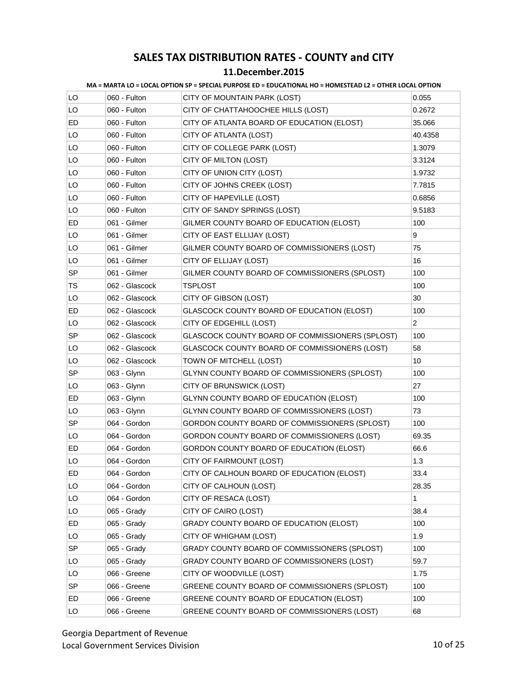#### **11.December.2015**

|           |                | MA = MARTA LO = LOCAL OPTION SP = SPECIAL PURPOSE ED = EDUCATIONAL HO = HOMESTEAD LZ = OTHER LOCAL OPTION |                |
|-----------|----------------|-----------------------------------------------------------------------------------------------------------|----------------|
| LO.       | 060 - Fulton   | CITY OF MOUNTAIN PARK (LOST)                                                                              | 0.055          |
| LO        | 060 - Fulton   | CITY OF CHATTAHOOCHEE HILLS (LOST)                                                                        | 0.2672         |
| ED        | 060 - Fulton   | CITY OF ATLANTA BOARD OF EDUCATION (ELOST)                                                                | 35.066         |
| LO        | 060 - Fulton   | CITY OF ATLANTA (LOST)                                                                                    | 40.4358        |
| LO        | 060 - Fulton   | CITY OF COLLEGE PARK (LOST)                                                                               | 1.3079         |
| LO        | 060 - Fulton   | CITY OF MILTON (LOST)                                                                                     | 3.3124         |
| LO        | 060 - Fulton   | CITY OF UNION CITY (LOST)                                                                                 | 1.9732         |
| LO        | 060 - Fulton   | CITY OF JOHNS CREEK (LOST)                                                                                | 7.7815         |
| LO        | 060 - Fulton   | CITY OF HAPEVILLE (LOST)                                                                                  | 0.6856         |
| LO        | 060 - Fulton   | CITY OF SANDY SPRINGS (LOST)                                                                              | 9.5183         |
| ED        | 061 - Gilmer   | GILMER COUNTY BOARD OF EDUCATION (ELOST)                                                                  | 100            |
| LO        | 061 - Gilmer   | CITY OF EAST ELLIJAY (LOST)                                                                               | 9              |
| LO        | 061 - Gilmer   | GILMER COUNTY BOARD OF COMMISSIONERS (LOST)                                                               | 75             |
| LO        | 061 - Gilmer   | CITY OF ELLIJAY (LOST)                                                                                    | 16             |
| <b>SP</b> | 061 - Gilmer   | GILMER COUNTY BOARD OF COMMISSIONERS (SPLOST)                                                             | 100            |
| TS        | 062 - Glascock | <b>TSPLOST</b>                                                                                            | 100            |
| LO        | 062 - Glascock | CITY OF GIBSON (LOST)                                                                                     | 30             |
| ED        | 062 - Glascock | GLASCOCK COUNTY BOARD OF EDUCATION (ELOST)                                                                | 100            |
| LO        | 062 - Glascock | CITY OF EDGEHILL (LOST)                                                                                   | $\overline{2}$ |
| <b>SP</b> | 062 - Glascock | GLASCOCK COUNTY BOARD OF COMMISSIONERS (SPLOST)                                                           | 100            |
| LO        | 062 - Glascock | GLASCOCK COUNTY BOARD OF COMMISSIONERS (LOST)                                                             | 58             |
| LO        | 062 - Glascock | TOWN OF MITCHELL (LOST)                                                                                   | 10             |
| <b>SP</b> | 063 - Glynn    | GLYNN COUNTY BOARD OF COMMISSIONERS (SPLOST)                                                              | 100            |
| LO        | 063 - Glynn    | CITY OF BRUNSWICK (LOST)                                                                                  | 27             |
| ED        | 063 - Glynn    | GLYNN COUNTY BOARD OF EDUCATION (ELOST)                                                                   | 100            |
| LO        | 063 - Glynn    | GLYNN COUNTY BOARD OF COMMISSIONERS (LOST)                                                                | 73             |
| <b>SP</b> | 064 - Gordon   | GORDON COUNTY BOARD OF COMMISSIONERS (SPLOST)                                                             | 100            |
| LO        | 064 - Gordon   | GORDON COUNTY BOARD OF COMMISSIONERS (LOST)                                                               | 69.35          |
| ED        | 064 - Gordon   | GORDON COUNTY BOARD OF EDUCATION (ELOST)                                                                  | 66.6           |
| LO        | 064 - Gordon   | CITY OF FAIRMOUNT (LOST)                                                                                  | 1.3            |
| ED        | 064 - Gordon   | CITY OF CALHOUN BOARD OF EDUCATION (ELOST)                                                                | 33.4           |
| LO        | 064 - Gordon   | CITY OF CALHOUN (LOST)                                                                                    | 28.35          |
| LO        | 064 - Gordon   | CITY OF RESACA (LOST)                                                                                     | 1              |
| LO        | 065 - Grady    | CITY OF CAIRO (LOST)                                                                                      | 38.4           |
| ED        | 065 - Grady    | GRADY COUNTY BOARD OF EDUCATION (ELOST)                                                                   | 100            |
| LO        | 065 - Grady    | CITY OF WHIGHAM (LOST)                                                                                    | 1.9            |
| SP        | 065 - Grady    | GRADY COUNTY BOARD OF COMMISSIONERS (SPLOST)                                                              | 100            |
| LO        | 065 - Grady    | GRADY COUNTY BOARD OF COMMISSIONERS (LOST)                                                                | 59.7           |
| LO        | 066 - Greene   | CITY OF WOODVILLE (LOST)                                                                                  | 1.75           |
| SP        | 066 - Greene   | GREENE COUNTY BOARD OF COMMISSIONERS (SPLOST)                                                             | 100            |
| ED        | 066 - Greene   | GREENE COUNTY BOARD OF EDUCATION (ELOST)                                                                  | 100            |
| LO        | 066 - Greene   | GREENE COUNTY BOARD OF COMMISSIONERS (LOST)                                                               | 68             |
|           |                |                                                                                                           |                |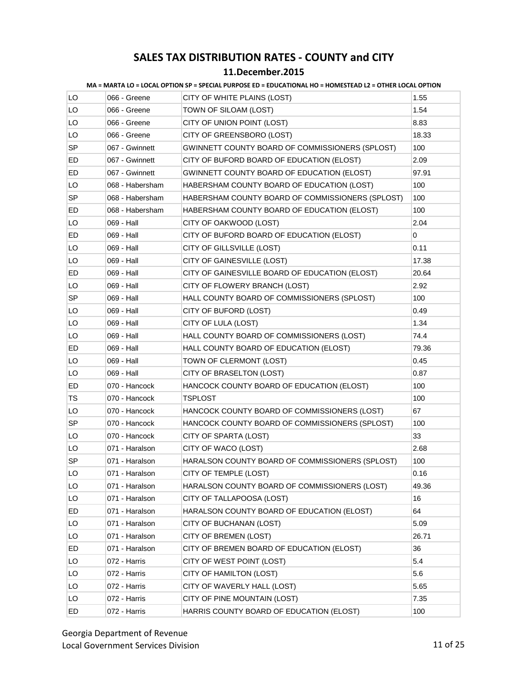| MA = MARTA LO = LOCAL OPTION SP = SPECIAL PURPOSE ED = EDUCATIONAL HO = HOMESTEAD L2 = OTHER LOCAL OPTION |  |
|-----------------------------------------------------------------------------------------------------------|--|
|-----------------------------------------------------------------------------------------------------------|--|

| LO        | 066 - Greene    | CITY OF WHITE PLAINS (LOST)                      | 1.55  |
|-----------|-----------------|--------------------------------------------------|-------|
| LO        | 066 - Greene    | TOWN OF SILOAM (LOST)                            | 1.54  |
| LO        | 066 - Greene    | CITY OF UNION POINT (LOST)                       | 8.83  |
| LO        | 066 - Greene    | CITY OF GREENSBORO (LOST)                        | 18.33 |
| <b>SP</b> | 067 - Gwinnett  | GWINNETT COUNTY BOARD OF COMMISSIONERS (SPLOST)  | 100   |
| ED.       | 067 - Gwinnett  | CITY OF BUFORD BOARD OF EDUCATION (ELOST)        | 2.09  |
| ED        | 067 - Gwinnett  | GWINNETT COUNTY BOARD OF EDUCATION (ELOST)       | 97.91 |
| LO        | 068 - Habersham | HABERSHAM COUNTY BOARD OF EDUCATION (LOST)       | 100   |
| SP.       | 068 - Habersham | HABERSHAM COUNTY BOARD OF COMMISSIONERS (SPLOST) | 100   |
| ED        | 068 - Habersham | HABERSHAM COUNTY BOARD OF EDUCATION (ELOST)      | 100   |
| LO        | 069 - Hall      | CITY OF OAKWOOD (LOST)                           | 2.04  |
| ED        | 069 - Hall      | CITY OF BUFORD BOARD OF EDUCATION (ELOST)        | 0     |
| LO        | 069 - Hall      | CITY OF GILLSVILLE (LOST)                        | 0.11  |
| LO        | 069 - Hall      | CITY OF GAINESVILLE (LOST)                       | 17.38 |
| ED        | 069 - Hall      | CITY OF GAINESVILLE BOARD OF EDUCATION (ELOST)   | 20.64 |
| LO        | 069 - Hall      | CITY OF FLOWERY BRANCH (LOST)                    | 2.92  |
| <b>SP</b> | 069 - Hall      | HALL COUNTY BOARD OF COMMISSIONERS (SPLOST)      | 100   |
| LO        | 069 - Hall      | CITY OF BUFORD (LOST)                            | 0.49  |
| LO        | 069 - Hall      | CITY OF LULA (LOST)                              | 1.34  |
| LO        | 069 - Hall      | HALL COUNTY BOARD OF COMMISSIONERS (LOST)        | 74.4  |
| ED        | 069 - Hall      | HALL COUNTY BOARD OF EDUCATION (ELOST)           | 79.36 |
| LO        | 069 - Hall      | TOWN OF CLERMONT (LOST)                          | 0.45  |
| LO        | 069 - Hall      | CITY OF BRASELTON (LOST)                         | 0.87  |
| ED        | 070 - Hancock   | HANCOCK COUNTY BOARD OF EDUCATION (ELOST)        | 100   |
| TS        | 070 - Hancock   | TSPLOST                                          | 100   |
| LO        | 070 - Hancock   | HANCOCK COUNTY BOARD OF COMMISSIONERS (LOST)     | 67    |
| SP        | 070 - Hancock   | HANCOCK COUNTY BOARD OF COMMISSIONERS (SPLOST)   | 100   |
| LO        | 070 - Hancock   | CITY OF SPARTA (LOST)                            | 33    |
| LO        | 071 - Haralson  | CITY OF WACO (LOST)                              | 2.68  |
| SP        | 071 - Haralson  | HARALSON COUNTY BOARD OF COMMISSIONERS (SPLOST)  | 100   |
| LO        | 071 - Haralson  | CITY OF TEMPLE (LOST)                            | 0.16  |
| LO        | 071 - Haralson  | HARALSON COUNTY BOARD OF COMMISSIONERS (LOST)    | 49.36 |
| LO        | 071 - Haralson  | CITY OF TALLAPOOSA (LOST)                        | 16    |
| ED        | 071 - Haralson  | HARALSON COUNTY BOARD OF EDUCATION (ELOST)       | 64    |
| LO        | 071 - Haralson  | CITY OF BUCHANAN (LOST)                          | 5.09  |
| LO        | 071 - Haralson  | CITY OF BREMEN (LOST)                            | 26.71 |
| ED        | 071 - Haralson  | CITY OF BREMEN BOARD OF EDUCATION (ELOST)        | 36    |
| LO        | 072 - Harris    | CITY OF WEST POINT (LOST)                        | 5.4   |
| LO        | 072 - Harris    | CITY OF HAMILTON (LOST)                          | 5.6   |
| LO        | 072 - Harris    | CITY OF WAVERLY HALL (LOST)                      | 5.65  |
| LO        | 072 - Harris    | CITY OF PINE MOUNTAIN (LOST)                     | 7.35  |
| ED        | 072 - Harris    | HARRIS COUNTY BOARD OF EDUCATION (ELOST)         | 100   |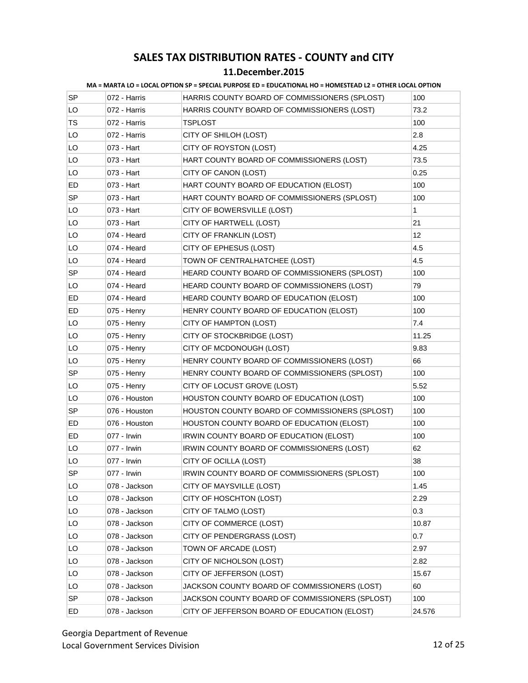| SP        | 072 - Harris  | HARRIS COUNTY BOARD OF COMMISSIONERS (SPLOST)  | 100    |
|-----------|---------------|------------------------------------------------|--------|
| LO        | 072 - Harris  | HARRIS COUNTY BOARD OF COMMISSIONERS (LOST)    | 73.2   |
| TS        | 072 - Harris  | <b>TSPLOST</b>                                 | 100    |
| LO        | 072 - Harris  | CITY OF SHILOH (LOST)                          | 2.8    |
| LO        | 073 - Hart    | CITY OF ROYSTON (LOST)                         | 4.25   |
| LO        | 073 - Hart    | HART COUNTY BOARD OF COMMISSIONERS (LOST)      | 73.5   |
| LO        | 073 - Hart    | CITY OF CANON (LOST)                           | 0.25   |
| ED        | 073 - Hart    | HART COUNTY BOARD OF EDUCATION (ELOST)         | 100    |
| <b>SP</b> | 073 - Hart    | HART COUNTY BOARD OF COMMISSIONERS (SPLOST)    | 100    |
| LO        | 073 - Hart    | CITY OF BOWERSVILLE (LOST)                     | 1      |
| LO        | 073 - Hart    | CITY OF HARTWELL (LOST)                        | 21     |
| LO        | 074 - Heard   | CITY OF FRANKLIN (LOST)                        | 12     |
| LO        | 074 - Heard   | CITY OF EPHESUS (LOST)                         | 4.5    |
| LO        | 074 - Heard   | TOWN OF CENTRALHATCHEE (LOST)                  | 4.5    |
| <b>SP</b> | 074 - Heard   | HEARD COUNTY BOARD OF COMMISSIONERS (SPLOST)   | 100    |
| LO        | 074 - Heard   | HEARD COUNTY BOARD OF COMMISSIONERS (LOST)     | 79     |
| ED        | 074 - Heard   | HEARD COUNTY BOARD OF EDUCATION (ELOST)        | 100    |
| ED        | 075 - Henry   | HENRY COUNTY BOARD OF EDUCATION (ELOST)        | 100    |
| LO        | 075 - Henry   | CITY OF HAMPTON (LOST)                         | 7.4    |
| LO        | 075 - Henry   | CITY OF STOCKBRIDGE (LOST)                     | 11.25  |
| LO        | 075 - Henry   | CITY OF MCDONOUGH (LOST)                       | 9.83   |
| LO        | 075 - Henry   | HENRY COUNTY BOARD OF COMMISSIONERS (LOST)     | 66     |
| SP        | 075 - Henry   | HENRY COUNTY BOARD OF COMMISSIONERS (SPLOST)   | 100    |
| LO        | 075 - Henry   | CITY OF LOCUST GROVE (LOST)                    | 5.52   |
| LO        | 076 - Houston | HOUSTON COUNTY BOARD OF EDUCATION (LOST)       | 100    |
| <b>SP</b> | 076 - Houston | HOUSTON COUNTY BOARD OF COMMISSIONERS (SPLOST) | 100    |
| ED        | 076 - Houston | HOUSTON COUNTY BOARD OF EDUCATION (ELOST)      | 100    |
| ED        | 077 - Irwin   | IRWIN COUNTY BOARD OF EDUCATION (ELOST)        | 100    |
| LO        | 077 - Irwin   | IRWIN COUNTY BOARD OF COMMISSIONERS (LOST)     | 62     |
| LO        | 077 - Irwin   | CITY OF OCILLA (LOST)                          | 38     |
| SP        | 077 - Irwin   | IRWIN COUNTY BOARD OF COMMISSIONERS (SPLOST)   | 100    |
| LO        | 078 - Jackson | CITY OF MAYSVILLE (LOST)                       | 1.45   |
| LO        | 078 - Jackson | CITY OF HOSCHTON (LOST)                        | 2.29   |
| LO        | 078 - Jackson | CITY OF TALMO (LOST)                           | 0.3    |
| LO        | 078 - Jackson | CITY OF COMMERCE (LOST)                        | 10.87  |
| LO        | 078 - Jackson | CITY OF PENDERGRASS (LOST)                     | 0.7    |
| LO        | 078 - Jackson | TOWN OF ARCADE (LOST)                          | 2.97   |
| LO        | 078 - Jackson | CITY OF NICHOLSON (LOST)                       | 2.82   |
| LO        | 078 - Jackson | CITY OF JEFFERSON (LOST)                       | 15.67  |
| LO        | 078 - Jackson | JACKSON COUNTY BOARD OF COMMISSIONERS (LOST)   | 60     |
| <b>SP</b> | 078 - Jackson | JACKSON COUNTY BOARD OF COMMISSIONERS (SPLOST) | 100    |
| ED        | 078 - Jackson | CITY OF JEFFERSON BOARD OF EDUCATION (ELOST)   | 24.576 |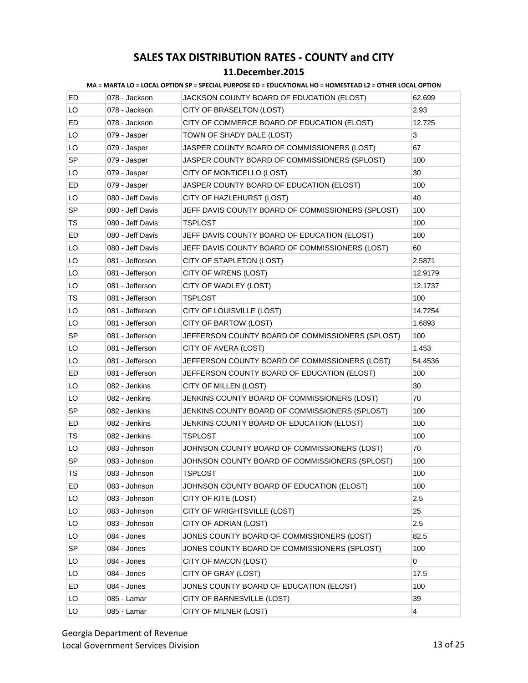#### **11.December.2015**

| ED.       | 078 - Jackson    | JACKSON COUNTY BOARD OF EDUCATION (ELOST)         | 62.699         |
|-----------|------------------|---------------------------------------------------|----------------|
| LO        | 078 - Jackson    | CITY OF BRASELTON (LOST)                          | 2.93           |
| ED        | 078 - Jackson    | CITY OF COMMERCE BOARD OF EDUCATION (ELOST)       | 12.725         |
| LO        | 079 - Jasper     | TOWN OF SHADY DALE (LOST)                         | 3              |
| LO        | 079 - Jasper     | JASPER COUNTY BOARD OF COMMISSIONERS (LOST)       | 67             |
| <b>SP</b> | 079 - Jasper     | JASPER COUNTY BOARD OF COMMISSIONERS (SPLOST)     | 100            |
| LO        | 079 - Jasper     | CITY OF MONTICELLO (LOST)                         | 30             |
| ED        | 079 - Jasper     | JASPER COUNTY BOARD OF EDUCATION (ELOST)          | 100            |
| LO        | 080 - Jeff Davis | CITY OF HAZLEHURST (LOST)                         | 40             |
| <b>SP</b> | 080 - Jeff Davis | JEFF DAVIS COUNTY BOARD OF COMMISSIONERS (SPLOST) | 100            |
| TS        | 080 - Jeff Davis | TSPLOST                                           | 100            |
| ED        | 080 - Jeff Davis | JEFF DAVIS COUNTY BOARD OF EDUCATION (ELOST)      | 100            |
| LO        | 080 - Jeff Davis | JEFF DAVIS COUNTY BOARD OF COMMISSIONERS (LOST)   | 60             |
| LO        | 081 - Jefferson  | CITY OF STAPLETON (LOST)                          | 2.5871         |
| LO        | 081 - Jefferson  | CITY OF WRENS (LOST)                              | 12.9179        |
| LO        | 081 - Jefferson  | CITY OF WADLEY (LOST)                             | 12.1737        |
| TS        | 081 - Jefferson  | TSPLOST                                           | 100            |
| LO        | 081 - Jefferson  | CITY OF LOUISVILLE (LOST)                         | 14.7254        |
| LO        | 081 - Jefferson  | CITY OF BARTOW (LOST)                             | 1.6893         |
| <b>SP</b> | 081 - Jefferson  | JEFFERSON COUNTY BOARD OF COMMISSIONERS (SPLOST)  | 100            |
| LO        | 081 - Jefferson  | CITY OF AVERA (LOST)                              | 1.453          |
| LO        | 081 - Jefferson  | JEFFERSON COUNTY BOARD OF COMMISSIONERS (LOST)    | 54.4536        |
| ED        | 081 - Jefferson  | JEFFERSON COUNTY BOARD OF EDUCATION (ELOST)       | 100            |
| LO        | 082 - Jenkins    | CITY OF MILLEN (LOST)                             | 30             |
| LO        | 082 - Jenkins    | JENKINS COUNTY BOARD OF COMMISSIONERS (LOST)      | 70             |
| <b>SP</b> | 082 - Jenkins    | JENKINS COUNTY BOARD OF COMMISSIONERS (SPLOST)    | 100            |
| ED        | 082 - Jenkins    | JENKINS COUNTY BOARD OF EDUCATION (ELOST)         | 100            |
| TS        | 082 - Jenkins    | TSPLOST                                           | 100            |
| LO        | 083 - Johnson    | JOHNSON COUNTY BOARD OF COMMISSIONERS (LOST)      | 70             |
| <b>SP</b> | 083 - Johnson    | JOHNSON COUNTY BOARD OF COMMISSIONERS (SPLOST)    | 100            |
| TS        | 083 - Johnson    | <b>TSPLOST</b>                                    | 100            |
| ED.       | 083 - Johnson    | JOHNSON COUNTY BOARD OF EDUCATION (ELOST)         | 100            |
| LO        | 083 - Johnson    | CITY OF KITE (LOST)                               | 2.5            |
| LO        | 083 - Johnson    | CITY OF WRIGHTSVILLE (LOST)                       | 25             |
| LO        | 083 - Johnson    | CITY OF ADRIAN (LOST)                             | 2.5            |
| LO        | 084 - Jones      | JONES COUNTY BOARD OF COMMISSIONERS (LOST)        | 82.5           |
| SP        | 084 - Jones      | JONES COUNTY BOARD OF COMMISSIONERS (SPLOST)      | 100            |
| LO        | 084 - Jones      | CITY OF MACON (LOST)                              | 0              |
| LO        | 084 - Jones      | CITY OF GRAY (LOST)                               | 17.5           |
| ED        | 084 - Jones      | JONES COUNTY BOARD OF EDUCATION (ELOST)           | 100            |
| LO        | 085 - Lamar      | CITY OF BARNESVILLE (LOST)                        | 39             |
| LO        | 085 - Lamar      | CITY OF MILNER (LOST)                             | $\overline{4}$ |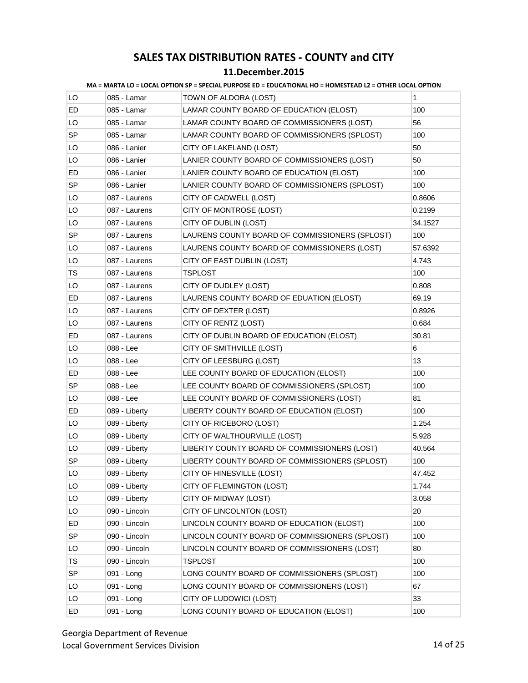| MA = MARTA LO = LOCAL OPTION SP = SPECIAL PURPOSE ED = EDUCATIONAL HO = HOMESTEAD L2 = OTHER LOCAL OPTION |
|-----------------------------------------------------------------------------------------------------------|
|-----------------------------------------------------------------------------------------------------------|

| LO        | 085 - Lamar   | TOWN OF ALDORA (LOST)                          | 1       |
|-----------|---------------|------------------------------------------------|---------|
| ED        | 085 - Lamar   | LAMAR COUNTY BOARD OF EDUCATION (ELOST)        | 100     |
| LO        | 085 - Lamar   | LAMAR COUNTY BOARD OF COMMISSIONERS (LOST)     | 56      |
| SP        | 085 - Lamar   | LAMAR COUNTY BOARD OF COMMISSIONERS (SPLOST)   | 100     |
| LO        | 086 - Lanier  | CITY OF LAKELAND (LOST)                        | 50      |
| LO        | 086 - Lanier  | LANIER COUNTY BOARD OF COMMISSIONERS (LOST)    | 50      |
| ED        | 086 - Lanier  | LANIER COUNTY BOARD OF EDUCATION (ELOST)       | 100     |
| <b>SP</b> | 086 - Lanier  | LANIER COUNTY BOARD OF COMMISSIONERS (SPLOST)  | 100     |
| LO        | 087 - Laurens | CITY OF CADWELL (LOST)                         | 0.8606  |
| LO        | 087 - Laurens | CITY OF MONTROSE (LOST)                        | 0.2199  |
| LO        | 087 - Laurens | CITY OF DUBLIN (LOST)                          | 34.1527 |
| SP        | 087 - Laurens | LAURENS COUNTY BOARD OF COMMISSIONERS (SPLOST) | 100     |
| LO        | 087 - Laurens | LAURENS COUNTY BOARD OF COMMISSIONERS (LOST)   | 57.6392 |
| LO        | 087 - Laurens | CITY OF EAST DUBLIN (LOST)                     | 4.743   |
| TS        | 087 - Laurens | TSPLOST                                        | 100     |
| LO        | 087 - Laurens | CITY OF DUDLEY (LOST)                          | 0.808   |
| ED        | 087 - Laurens | LAURENS COUNTY BOARD OF EDUATION (ELOST)       | 69.19   |
| LO        | 087 - Laurens | CITY OF DEXTER (LOST)                          | 0.8926  |
| LO        | 087 - Laurens | CITY OF RENTZ (LOST)                           | 0.684   |
| ED        | 087 - Laurens | CITY OF DUBLIN BOARD OF EDUCATION (ELOST)      | 30.81   |
| LO        | 088 - Lee     | CITY OF SMITHVILLE (LOST)                      | 6       |
| LO        | 088 - Lee     | CITY OF LEESBURG (LOST)                        | 13      |
| ED        | 088 - Lee     | LEE COUNTY BOARD OF EDUCATION (ELOST)          | 100     |
| <b>SP</b> | 088 - Lee     | LEE COUNTY BOARD OF COMMISSIONERS (SPLOST)     | 100     |
| LO        | 088 - Lee     | LEE COUNTY BOARD OF COMMISSIONERS (LOST)       | 81      |
| ED        | 089 - Liberty | LIBERTY COUNTY BOARD OF EDUCATION (ELOST)      | 100     |
| LO        | 089 - Liberty | CITY OF RICEBORO (LOST)                        | 1.254   |
| LO        | 089 - Liberty | CITY OF WALTHOURVILLE (LOST)                   | 5.928   |
| LO        | 089 - Liberty | LIBERTY COUNTY BOARD OF COMMISSIONERS (LOST)   | 40.564  |
| SP        | 089 - Liberty | LIBERTY COUNTY BOARD OF COMMISSIONERS (SPLOST) | 100     |
| LO        | 089 - Liberty | CITY OF HINESVILLE (LOST)                      | 47.452  |
| LO        | 089 - Liberty | CITY OF FLEMINGTON (LOST)                      | 1.744   |
| LO        | 089 - Liberty | CITY OF MIDWAY (LOST)                          | 3.058   |
| LO        | 090 - Lincoln | CITY OF LINCOLNTON (LOST)                      | 20      |
| ED        | 090 - Lincoln | LINCOLN COUNTY BOARD OF EDUCATION (ELOST)      | 100     |
| <b>SP</b> | 090 - Lincoln | LINCOLN COUNTY BOARD OF COMMISSIONERS (SPLOST) | 100     |
| LO        | 090 - Lincoln | LINCOLN COUNTY BOARD OF COMMISSIONERS (LOST)   | 80      |
| TS        | 090 - Lincoln | TSPLOST                                        | 100     |
| <b>SP</b> | 091 - Long    | LONG COUNTY BOARD OF COMMISSIONERS (SPLOST)    | 100     |
| LO        | 091 - Long    | LONG COUNTY BOARD OF COMMISSIONERS (LOST)      | 67      |
| LO        | 091 - Long    | CITY OF LUDOWICI (LOST)                        | 33      |
| ED        | 091 - Long    | LONG COUNTY BOARD OF EDUCATION (ELOST)         | 100     |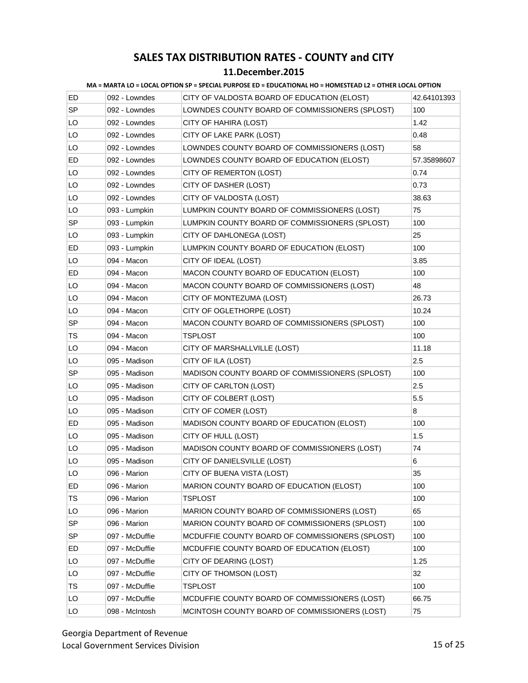#### **11.December.2015**

| ED        | 092 - Lowndes  | CITY OF VALDOSTA BOARD OF EDUCATION (ELOST)     | 42.64101393 |
|-----------|----------------|-------------------------------------------------|-------------|
| <b>SP</b> | 092 - Lowndes  | LOWNDES COUNTY BOARD OF COMMISSIONERS (SPLOST)  | 100         |
| LO        | 092 - Lowndes  | CITY OF HAHIRA (LOST)                           | 1.42        |
| LO        | 092 - Lowndes  | CITY OF LAKE PARK (LOST)                        | 0.48        |
| LO        | 092 - Lowndes  | LOWNDES COUNTY BOARD OF COMMISSIONERS (LOST)    | 58          |
| ED        | 092 - Lowndes  | LOWNDES COUNTY BOARD OF EDUCATION (ELOST)       | 57.35898607 |
| LO        | 092 - Lowndes  | CITY OF REMERTON (LOST)                         | 0.74        |
| LO        | 092 - Lowndes  | CITY OF DASHER (LOST)                           | 0.73        |
| LO        | 092 - Lowndes  | CITY OF VALDOSTA (LOST)                         | 38.63       |
| LO        | 093 - Lumpkin  | LUMPKIN COUNTY BOARD OF COMMISSIONERS (LOST)    | 75          |
| SP        | 093 - Lumpkin  | LUMPKIN COUNTY BOARD OF COMMISSIONERS (SPLOST)  | 100         |
| LO        | 093 - Lumpkin  | CITY OF DAHLONEGA (LOST)                        | 25          |
| ED        | 093 - Lumpkin  | LUMPKIN COUNTY BOARD OF EDUCATION (ELOST)       | 100         |
| LO        | 094 - Macon    | CITY OF IDEAL (LOST)                            | 3.85        |
| ED        | 094 - Macon    | MACON COUNTY BOARD OF EDUCATION (ELOST)         | 100         |
| LO        | 094 - Macon    | MACON COUNTY BOARD OF COMMISSIONERS (LOST)      | 48          |
| LO        | 094 - Macon    | CITY OF MONTEZUMA (LOST)                        | 26.73       |
| LO        | 094 - Macon    | CITY OF OGLETHORPE (LOST)                       | 10.24       |
| <b>SP</b> | 094 - Macon    | MACON COUNTY BOARD OF COMMISSIONERS (SPLOST)    | 100         |
| <b>TS</b> | 094 - Macon    | TSPLOST                                         | 100         |
| LO        | 094 - Macon    | CITY OF MARSHALLVILLE (LOST)                    | 11.18       |
| LO        | 095 - Madison  | CITY OF ILA (LOST)                              | 2.5         |
| SP        | 095 - Madison  | MADISON COUNTY BOARD OF COMMISSIONERS (SPLOST)  | 100         |
| LO        | 095 - Madison  | CITY OF CARLTON (LOST)                          | 2.5         |
| LO        | 095 - Madison  | CITY OF COLBERT (LOST)                          | 5.5         |
| LO        | 095 - Madison  | CITY OF COMER (LOST)                            | 8           |
| ED        | 095 - Madison  | MADISON COUNTY BOARD OF EDUCATION (ELOST)       | 100         |
| LO        | 095 - Madison  | CITY OF HULL (LOST)                             | 1.5         |
| LO        | 095 - Madison  | MADISON COUNTY BOARD OF COMMISSIONERS (LOST)    | 74          |
| LO        | 095 - Madison  | CITY OF DANIELSVILLE (LOST)                     | 6           |
| LO        | 096 - Marion   | CITY OF BUENA VISTA (LOST)                      | 35          |
| ED.       | 096 - Marion   | MARION COUNTY BOARD OF EDUCATION (ELOST)        | 100         |
| TS        | 096 - Marion   | TSPLOST                                         | 100         |
| LO        | 096 - Marion   | MARION COUNTY BOARD OF COMMISSIONERS (LOST)     | 65          |
| <b>SP</b> | 096 - Marion   | MARION COUNTY BOARD OF COMMISSIONERS (SPLOST)   | 100         |
| <b>SP</b> | 097 - McDuffie | MCDUFFIE COUNTY BOARD OF COMMISSIONERS (SPLOST) | 100         |
| ED.       | 097 - McDuffie | MCDUFFIE COUNTY BOARD OF EDUCATION (ELOST)      | 100         |
| LO        | 097 - McDuffie | CITY OF DEARING (LOST)                          | 1.25        |
| LO        | 097 - McDuffie | CITY OF THOMSON (LOST)                          | 32          |
| TS        | 097 - McDuffie | TSPLOST                                         | 100         |
| LO        | 097 - McDuffie | MCDUFFIE COUNTY BOARD OF COMMISSIONERS (LOST)   | 66.75       |
| LO        | 098 - McIntosh | MCINTOSH COUNTY BOARD OF COMMISSIONERS (LOST)   | 75          |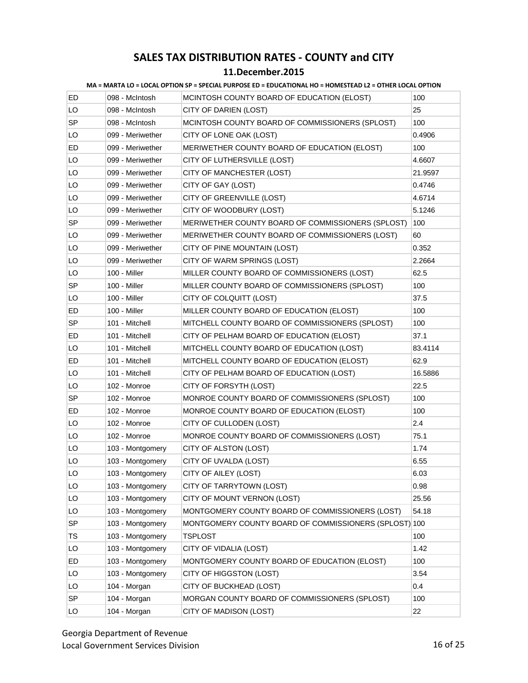| ED        | 098 - McIntosh   | MCINTOSH COUNTY BOARD OF EDUCATION (ELOST)            | 100     |
|-----------|------------------|-------------------------------------------------------|---------|
| LO        | 098 - McIntosh   | CITY OF DARIEN (LOST)                                 | 25      |
| <b>SP</b> | 098 - McIntosh   | MCINTOSH COUNTY BOARD OF COMMISSIONERS (SPLOST)       | 100     |
| LO        | 099 - Meriwether | CITY OF LONE OAK (LOST)                               | 0.4906  |
| ED        | 099 - Meriwether | MERIWETHER COUNTY BOARD OF EDUCATION (ELOST)          | 100     |
| LO        | 099 - Meriwether | CITY OF LUTHERSVILLE (LOST)                           | 4.6607  |
| LO        | 099 - Meriwether | CITY OF MANCHESTER (LOST)                             | 21.9597 |
| LO        | 099 - Meriwether | CITY OF GAY (LOST)                                    | 0.4746  |
| LO        | 099 - Meriwether | CITY OF GREENVILLE (LOST)                             | 4.6714  |
| LO        | 099 - Meriwether | CITY OF WOODBURY (LOST)                               | 5.1246  |
| <b>SP</b> | 099 - Meriwether | MERIWETHER COUNTY BOARD OF COMMISSIONERS (SPLOST)     | 100     |
| LO        | 099 - Meriwether | MERIWETHER COUNTY BOARD OF COMMISSIONERS (LOST)       | 60      |
| LO        | 099 - Meriwether | CITY OF PINE MOUNTAIN (LOST)                          | 0.352   |
| LO        | 099 - Meriwether | CITY OF WARM SPRINGS (LOST)                           | 2.2664  |
| LO        | 100 - Miller     | MILLER COUNTY BOARD OF COMMISSIONERS (LOST)           | 62.5    |
| SP        | 100 - Miller     | MILLER COUNTY BOARD OF COMMISSIONERS (SPLOST)         | 100     |
| LO        | 100 - Miller     | CITY OF COLQUITT (LOST)                               | 37.5    |
| ED        | 100 - Miller     | MILLER COUNTY BOARD OF EDUCATION (ELOST)              | 100     |
| <b>SP</b> | 101 - Mitchell   | MITCHELL COUNTY BOARD OF COMMISSIONERS (SPLOST)       | 100     |
| ED        | 101 - Mitchell   | CITY OF PELHAM BOARD OF EDUCATION (ELOST)             | 37.1    |
| LO        | 101 - Mitchell   | MITCHELL COUNTY BOARD OF EDUCATION (LOST)             | 83.4114 |
| ED        | 101 - Mitchell   | MITCHELL COUNTY BOARD OF EDUCATION (ELOST)            | 62.9    |
| LO        | 101 - Mitchell   | CITY OF PELHAM BOARD OF EDUCATION (LOST)              | 16.5886 |
| LO        | 102 - Monroe     | CITY OF FORSYTH (LOST)                                | 22.5    |
| SP        | 102 - Monroe     | MONROE COUNTY BOARD OF COMMISSIONERS (SPLOST)         | 100     |
| ED        | 102 - Monroe     | MONROE COUNTY BOARD OF EDUCATION (ELOST)              | 100     |
| LO        | 102 - Monroe     | CITY OF CULLODEN (LOST)                               | 2.4     |
| LO        | 102 - Monroe     | MONROE COUNTY BOARD OF COMMISSIONERS (LOST)           | 75.1    |
| LO        | 103 - Montgomery | CITY OF ALSTON (LOST)                                 | 1.74    |
| LO        | 103 - Montgomery | CITY OF UVALDA (LOST)                                 | 6.55    |
| LO        | 103 - Montgomery | CITY OF AILEY (LOST)                                  | 6.03    |
| LO        | 103 - Montgomery | CITY OF TARRYTOWN (LOST)                              | 0.98    |
| LO        | 103 - Montgomery | CITY OF MOUNT VERNON (LOST)                           | 25.56   |
| LO        | 103 - Montgomery | MONTGOMERY COUNTY BOARD OF COMMISSIONERS (LOST)       | 54.18   |
| <b>SP</b> | 103 - Montgomery | MONTGOMERY COUNTY BOARD OF COMMISSIONERS (SPLOST) 100 |         |
| TS        | 103 - Montgomery | <b>TSPLOST</b>                                        | 100     |
| LO        | 103 - Montgomery | CITY OF VIDALIA (LOST)                                | 1.42    |
| ED        | 103 - Montgomery | MONTGOMERY COUNTY BOARD OF EDUCATION (ELOST)          | 100     |
| LO        | 103 - Montgomery | CITY OF HIGGSTON (LOST)                               | 3.54    |
| LO        | 104 - Morgan     | CITY OF BUCKHEAD (LOST)                               | 0.4     |
| SP        | 104 - Morgan     | MORGAN COUNTY BOARD OF COMMISSIONERS (SPLOST)         | 100     |
| LO        | 104 - Morgan     | CITY OF MADISON (LOST)                                | 22      |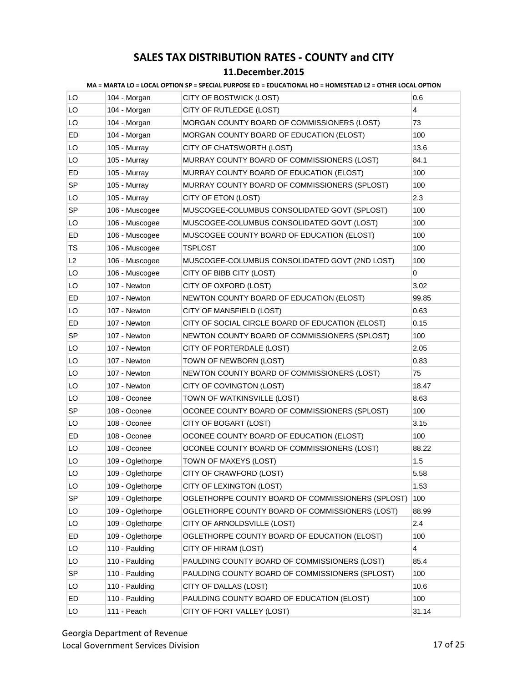| LO | 104 - Morgan     | CITY OF BOSTWICK (LOST)                           | 0.6   |
|----|------------------|---------------------------------------------------|-------|
| LO | 104 - Morgan     | CITY OF RUTLEDGE (LOST)                           | 4     |
| LO | 104 - Morgan     | MORGAN COUNTY BOARD OF COMMISSIONERS (LOST)       | 73    |
| ED | 104 - Morgan     | MORGAN COUNTY BOARD OF EDUCATION (ELOST)          | 100   |
| LO | 105 - Murray     | CITY OF CHATSWORTH (LOST)                         | 13.6  |
| LO | 105 - Murray     | MURRAY COUNTY BOARD OF COMMISSIONERS (LOST)       | 84.1  |
| ED | 105 - Murray     | MURRAY COUNTY BOARD OF EDUCATION (ELOST)          | 100   |
| SP | 105 - Murray     | MURRAY COUNTY BOARD OF COMMISSIONERS (SPLOST)     | 100   |
| LO | 105 - Murray     | CITY OF ETON (LOST)                               | 2.3   |
| SP | 106 - Muscogee   | MUSCOGEE-COLUMBUS CONSOLIDATED GOVT (SPLOST)      | 100   |
| LO | 106 - Muscogee   | MUSCOGEE-COLUMBUS CONSOLIDATED GOVT (LOST)        | 100   |
| ED | 106 - Muscogee   | MUSCOGEE COUNTY BOARD OF EDUCATION (ELOST)        | 100   |
| TS | 106 - Muscogee   | <b>TSPLOST</b>                                    | 100   |
| L2 | 106 - Muscogee   | MUSCOGEE-COLUMBUS CONSOLIDATED GOVT (2ND LOST)    | 100   |
| LO | 106 - Muscogee   | CITY OF BIBB CITY (LOST)                          | 0     |
| LO | 107 - Newton     | CITY OF OXFORD (LOST)                             | 3.02  |
| ED | 107 - Newton     | NEWTON COUNTY BOARD OF EDUCATION (ELOST)          | 99.85 |
| LO | 107 - Newton     | CITY OF MANSFIELD (LOST)                          | 0.63  |
| ED | 107 - Newton     | CITY OF SOCIAL CIRCLE BOARD OF EDUCATION (ELOST)  | 0.15  |
| SP | 107 - Newton     | NEWTON COUNTY BOARD OF COMMISSIONERS (SPLOST)     | 100   |
| LO | 107 - Newton     | CITY OF PORTERDALE (LOST)                         | 2.05  |
| LO | 107 - Newton     | TOWN OF NEWBORN (LOST)                            | 0.83  |
| LO | 107 - Newton     | NEWTON COUNTY BOARD OF COMMISSIONERS (LOST)       | 75    |
| LO | 107 - Newton     | CITY OF COVINGTON (LOST)                          | 18.47 |
| LO | 108 - Oconee     | TOWN OF WATKINSVILLE (LOST)                       | 8.63  |
| SP | 108 - Oconee     | OCONEE COUNTY BOARD OF COMMISSIONERS (SPLOST)     | 100   |
| LO | 108 - Oconee     | CITY OF BOGART (LOST)                             | 3.15  |
| ED | 108 - Oconee     | OCONEE COUNTY BOARD OF EDUCATION (ELOST)          | 100   |
| LO | 108 - Oconee     | OCONEE COUNTY BOARD OF COMMISSIONERS (LOST)       | 88.22 |
| LO | 109 - Oglethorpe | TOWN OF MAXEYS (LOST)                             | 1.5   |
| LO | 109 - Oglethorpe | CITY OF CRAWFORD (LOST)                           | 5.58  |
| LO | 109 - Oglethorpe | CITY OF LEXINGTON (LOST)                          | 1.53  |
| SP | 109 - Oglethorpe | OGLETHORPE COUNTY BOARD OF COMMISSIONERS (SPLOST) | 100   |
| LO | 109 - Oglethorpe | OGLETHORPE COUNTY BOARD OF COMMISSIONERS (LOST)   | 88.99 |
| LO | 109 - Oglethorpe | CITY OF ARNOLDSVILLE (LOST)                       | 2.4   |
| ED | 109 - Oglethorpe | OGLETHORPE COUNTY BOARD OF EDUCATION (ELOST)      | 100   |
| LO | 110 - Paulding   | CITY OF HIRAM (LOST)                              | 4     |
| LO | 110 - Paulding   | PAULDING COUNTY BOARD OF COMMISSIONERS (LOST)     | 85.4  |
| SP | 110 - Paulding   | PAULDING COUNTY BOARD OF COMMISSIONERS (SPLOST)   | 100   |
| LO | 110 - Paulding   | CITY OF DALLAS (LOST)                             | 10.6  |
| ED | 110 - Paulding   | PAULDING COUNTY BOARD OF EDUCATION (ELOST)        | 100   |
| LO | 111 - Peach      | CITY OF FORT VALLEY (LOST)                        | 31.14 |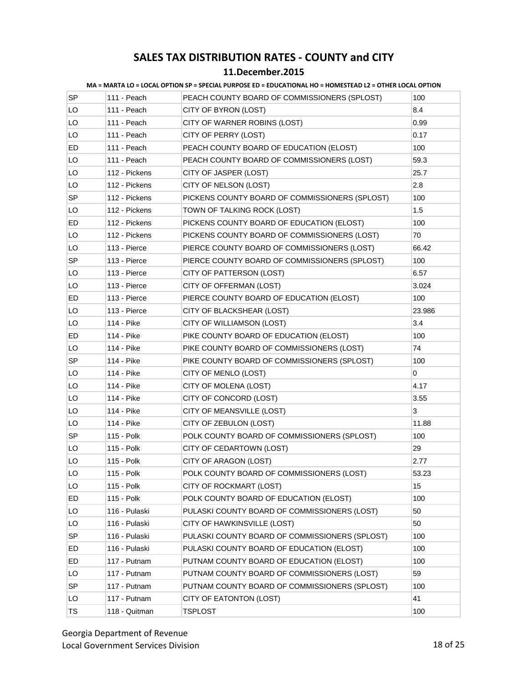#### **11.December.2015**

| SP        | 111 - Peach   | PEACH COUNTY BOARD OF COMMISSIONERS (SPLOST)   | 100    |
|-----------|---------------|------------------------------------------------|--------|
| LO        | 111 - Peach   | CITY OF BYRON (LOST)                           | 8.4    |
| LO        | 111 - Peach   | CITY OF WARNER ROBINS (LOST)                   | 0.99   |
| LO        | 111 - Peach   | CITY OF PERRY (LOST)                           | 0.17   |
| ED        | 111 - Peach   | PEACH COUNTY BOARD OF EDUCATION (ELOST)        | 100    |
| LO        | 111 - Peach   | PEACH COUNTY BOARD OF COMMISSIONERS (LOST)     | 59.3   |
| LO        | 112 - Pickens | CITY OF JASPER (LOST)                          | 25.7   |
| LO        | 112 - Pickens | CITY OF NELSON (LOST)                          | 2.8    |
| SP        | 112 - Pickens | PICKENS COUNTY BOARD OF COMMISSIONERS (SPLOST) | 100    |
| LO        | 112 - Pickens | TOWN OF TALKING ROCK (LOST)                    | 1.5    |
| ED        | 112 - Pickens | PICKENS COUNTY BOARD OF EDUCATION (ELOST)      | 100    |
| LO        | 112 - Pickens | PICKENS COUNTY BOARD OF COMMISSIONERS (LOST)   | 70     |
| LO        | 113 - Pierce  | PIERCE COUNTY BOARD OF COMMISSIONERS (LOST)    | 66.42  |
| SP        | 113 - Pierce  | PIERCE COUNTY BOARD OF COMMISSIONERS (SPLOST)  | 100    |
| LO        | 113 - Pierce  | CITY OF PATTERSON (LOST)                       | 6.57   |
| LO        | 113 - Pierce  | CITY OF OFFERMAN (LOST)                        | 3.024  |
| ED        | 113 - Pierce  | PIERCE COUNTY BOARD OF EDUCATION (ELOST)       | 100    |
| LO        | 113 - Pierce  | CITY OF BLACKSHEAR (LOST)                      | 23.986 |
| LO        | 114 - Pike    | CITY OF WILLIAMSON (LOST)                      | 3.4    |
| ED        | 114 - Pike    | PIKE COUNTY BOARD OF EDUCATION (ELOST)         | 100    |
| LO        | 114 - Pike    | PIKE COUNTY BOARD OF COMMISSIONERS (LOST)      | 74     |
| SP        | 114 - Pike    | PIKE COUNTY BOARD OF COMMISSIONERS (SPLOST)    | 100    |
| LO        | 114 - Pike    | CITY OF MENLO (LOST)                           | 0      |
| LO        | 114 - Pike    | CITY OF MOLENA (LOST)                          | 4.17   |
| LO        | 114 - Pike    | CITY OF CONCORD (LOST)                         | 3.55   |
| LO        | 114 - Pike    | CITY OF MEANSVILLE (LOST)                      | 3      |
| LO        | 114 - Pike    | CITY OF ZEBULON (LOST)                         | 11.88  |
| SP        | 115 - Polk    | POLK COUNTY BOARD OF COMMISSIONERS (SPLOST)    | 100    |
| LO        | 115 - Polk    | CITY OF CEDARTOWN (LOST)                       | 29     |
| LO        | 115 - Polk    | CITY OF ARAGON (LOST)                          | 2.77   |
| LO        | 115 - Polk    | POLK COUNTY BOARD OF COMMISSIONERS (LOST)      | 53.23  |
| LO        | 115 - Polk    | CITY OF ROCKMART (LOST)                        | 15     |
| ED        | 115 - Polk    | POLK COUNTY BOARD OF EDUCATION (ELOST)         | 100    |
| LO        | 116 - Pulaski | PULASKI COUNTY BOARD OF COMMISSIONERS (LOST)   | 50     |
| LO        | 116 - Pulaski | CITY OF HAWKINSVILLE (LOST)                    | 50     |
| SP        | 116 - Pulaski | PULASKI COUNTY BOARD OF COMMISSIONERS (SPLOST) | 100    |
| ED        | 116 - Pulaski | PULASKI COUNTY BOARD OF EDUCATION (ELOST)      | 100    |
| ED        | 117 - Putnam  | PUTNAM COUNTY BOARD OF EDUCATION (ELOST)       | 100    |
| LO        | 117 - Putnam  | PUTNAM COUNTY BOARD OF COMMISSIONERS (LOST)    | 59     |
| SP        | 117 - Putnam  | PUTNAM COUNTY BOARD OF COMMISSIONERS (SPLOST)  | 100    |
| LO        | 117 - Putnam  | CITY OF EATONTON (LOST)                        | 41     |
| <b>TS</b> | 118 - Quitman | <b>TSPLOST</b>                                 | 100    |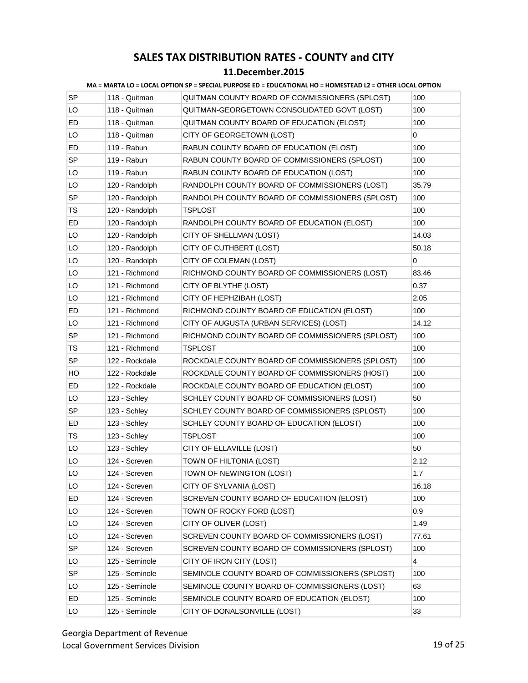#### **11.December.2015**

| <b>SP</b> | 118 - Quitman  | QUITMAN COUNTY BOARD OF COMMISSIONERS (SPLOST)  | 100   |
|-----------|----------------|-------------------------------------------------|-------|
| LO        | 118 - Quitman  | QUITMAN-GEORGETOWN CONSOLIDATED GOVT (LOST)     | 100   |
| ED        | 118 - Quitman  | QUITMAN COUNTY BOARD OF EDUCATION (ELOST)       | 100   |
| LO        | 118 - Quitman  | CITY OF GEORGETOWN (LOST)                       | 0     |
| ED        | 119 - Rabun    | RABUN COUNTY BOARD OF EDUCATION (ELOST)         | 100   |
| <b>SP</b> | 119 - Rabun    | RABUN COUNTY BOARD OF COMMISSIONERS (SPLOST)    | 100   |
| LO        | 119 - Rabun    | RABUN COUNTY BOARD OF EDUCATION (LOST)          | 100   |
| LO        | 120 - Randolph | RANDOLPH COUNTY BOARD OF COMMISSIONERS (LOST)   | 35.79 |
| SP        | 120 - Randolph | RANDOLPH COUNTY BOARD OF COMMISSIONERS (SPLOST) | 100   |
| TS        | 120 - Randolph | <b>TSPLOST</b>                                  | 100   |
| ED        | 120 - Randolph | RANDOLPH COUNTY BOARD OF EDUCATION (ELOST)      | 100   |
| LO        | 120 - Randolph | CITY OF SHELLMAN (LOST)                         | 14.03 |
| LO        | 120 - Randolph | CITY OF CUTHBERT (LOST)                         | 50.18 |
| LO        | 120 - Randolph | CITY OF COLEMAN (LOST)                          | 0     |
| LO        | 121 - Richmond | RICHMOND COUNTY BOARD OF COMMISSIONERS (LOST)   | 83.46 |
| LO        | 121 - Richmond | CITY OF BLYTHE (LOST)                           | 0.37  |
| LO        | 121 - Richmond | CITY OF HEPHZIBAH (LOST)                        | 2.05  |
| ED        | 121 - Richmond | RICHMOND COUNTY BOARD OF EDUCATION (ELOST)      | 100   |
| LO        | 121 - Richmond | CITY OF AUGUSTA (URBAN SERVICES) (LOST)         | 14.12 |
| SP        | 121 - Richmond | RICHMOND COUNTY BOARD OF COMMISSIONERS (SPLOST) | 100   |
| TS        | 121 - Richmond | <b>TSPLOST</b>                                  | 100   |
| <b>SP</b> | 122 - Rockdale | ROCKDALE COUNTY BOARD OF COMMISSIONERS (SPLOST) | 100   |
| HO.       | 122 - Rockdale | ROCKDALE COUNTY BOARD OF COMMISSIONERS (HOST)   | 100   |
| ED        | 122 - Rockdale | ROCKDALE COUNTY BOARD OF EDUCATION (ELOST)      | 100   |
| LO        | 123 - Schley   | SCHLEY COUNTY BOARD OF COMMISSIONERS (LOST)     | 50    |
| <b>SP</b> | 123 - Schley   | SCHLEY COUNTY BOARD OF COMMISSIONERS (SPLOST)   | 100   |
| ED        | 123 - Schley   | SCHLEY COUNTY BOARD OF EDUCATION (ELOST)        | 100   |
| TS        | 123 - Schley   | TSPLOST                                         | 100   |
| LO        | 123 - Schley   | CITY OF ELLAVILLE (LOST)                        | 50    |
| LO        | 124 - Screven  | TOWN OF HILTONIA (LOST)                         | 2.12  |
| LO        | 124 - Screven  | TOWN OF NEWINGTON (LOST)                        | 1.7   |
| LO        | 124 - Screven  | CITY OF SYLVANIA (LOST)                         | 16.18 |
| ED        | 124 - Screven  | SCREVEN COUNTY BOARD OF EDUCATION (ELOST)       | 100   |
| LO        | 124 - Screven  | TOWN OF ROCKY FORD (LOST)                       | 0.9   |
| LO        | 124 - Screven  | CITY OF OLIVER (LOST)                           | 1.49  |
| LO        | 124 - Screven  | SCREVEN COUNTY BOARD OF COMMISSIONERS (LOST)    | 77.61 |
| SP        | 124 - Screven  | SCREVEN COUNTY BOARD OF COMMISSIONERS (SPLOST)  | 100   |
| LO        | 125 - Seminole | CITY OF IRON CITY (LOST)                        | 4     |
| SP        | 125 - Seminole | SEMINOLE COUNTY BOARD OF COMMISSIONERS (SPLOST) | 100   |
| LO        | 125 - Seminole | SEMINOLE COUNTY BOARD OF COMMISSIONERS (LOST)   | 63    |
| ED        | 125 - Seminole | SEMINOLE COUNTY BOARD OF EDUCATION (ELOST)      | 100   |
| LO        | 125 - Seminole | CITY OF DONALSONVILLE (LOST)                    | 33    |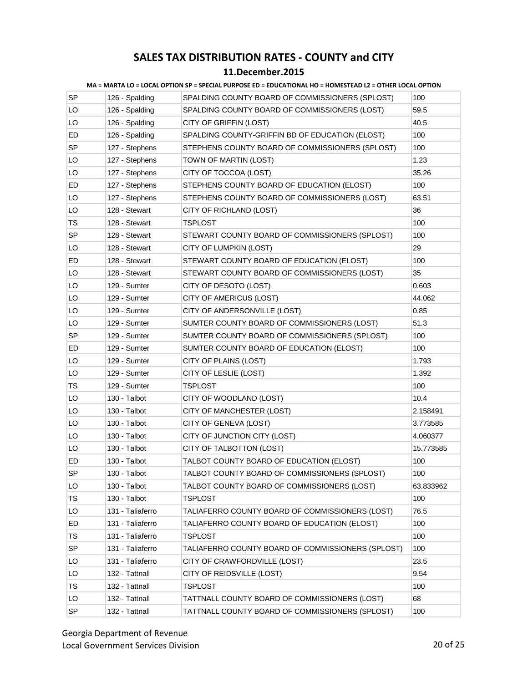#### **11.December.2015**

| <b>SP</b> | 126 - Spalding   | SPALDING COUNTY BOARD OF COMMISSIONERS (SPLOST)   | 100       |
|-----------|------------------|---------------------------------------------------|-----------|
| LO        | 126 - Spalding   | SPALDING COUNTY BOARD OF COMMISSIONERS (LOST)     | 59.5      |
| LO        | 126 - Spalding   | CITY OF GRIFFIN (LOST)                            | 40.5      |
| ED        | 126 - Spalding   | SPALDING COUNTY-GRIFFIN BD OF EDUCATION (ELOST)   | 100       |
| <b>SP</b> | 127 - Stephens   | STEPHENS COUNTY BOARD OF COMMISSIONERS (SPLOST)   | 100       |
| LO        | 127 - Stephens   | TOWN OF MARTIN (LOST)                             | 1.23      |
| LO        | 127 - Stephens   | CITY OF TOCCOA (LOST)                             | 35.26     |
| ED        | 127 - Stephens   | STEPHENS COUNTY BOARD OF EDUCATION (ELOST)        | 100       |
| LO        | 127 - Stephens   | STEPHENS COUNTY BOARD OF COMMISSIONERS (LOST)     | 63.51     |
| LO        | 128 - Stewart    | CITY OF RICHLAND (LOST)                           | 36        |
| <b>TS</b> | 128 - Stewart    | TSPLOST                                           | 100       |
| SP        | 128 - Stewart    | STEWART COUNTY BOARD OF COMMISSIONERS (SPLOST)    | 100       |
| LO        | 128 - Stewart    | CITY OF LUMPKIN (LOST)                            | 29        |
| ED        | 128 - Stewart    | STEWART COUNTY BOARD OF EDUCATION (ELOST)         | 100       |
| LO        | 128 - Stewart    | STEWART COUNTY BOARD OF COMMISSIONERS (LOST)      | 35        |
| LO        | 129 - Sumter     | CITY OF DESOTO (LOST)                             | 0.603     |
| LO        | 129 - Sumter     | CITY OF AMERICUS (LOST)                           | 44.062    |
| LO        | 129 - Sumter     | CITY OF ANDERSONVILLE (LOST)                      | 0.85      |
| LO        | 129 - Sumter     | SUMTER COUNTY BOARD OF COMMISSIONERS (LOST)       | 51.3      |
| <b>SP</b> | 129 - Sumter     | SUMTER COUNTY BOARD OF COMMISSIONERS (SPLOST)     | 100       |
| ED        | 129 - Sumter     | SUMTER COUNTY BOARD OF EDUCATION (ELOST)          | 100       |
| LO        | 129 - Sumter     | CITY OF PLAINS (LOST)                             | 1.793     |
| LO        | 129 - Sumter     | CITY OF LESLIE (LOST)                             | 1.392     |
| TS        | 129 - Sumter     | <b>TSPLOST</b>                                    | 100       |
| LO        | 130 - Talbot     | CITY OF WOODLAND (LOST)                           | 10.4      |
| LO        | 130 - Talbot     | CITY OF MANCHESTER (LOST)                         | 2.158491  |
| LO        | 130 - Talbot     | CITY OF GENEVA (LOST)                             | 3.773585  |
| LO        | 130 - Talbot     | CITY OF JUNCTION CITY (LOST)                      | 4.060377  |
| LO        | 130 - Talbot     | CITY OF TALBOTTON (LOST)                          | 15.773585 |
| ED        | 130 - Talbot     | TALBOT COUNTY BOARD OF EDUCATION (ELOST)          | 100       |
| SP        | 130 - Talbot     | TALBOT COUNTY BOARD OF COMMISSIONERS (SPLOST)     | 100       |
| LO        | 130 - Talbot     | TALBOT COUNTY BOARD OF COMMISSIONERS (LOST)       | 63.833962 |
| TS        | 130 - Talbot     | <b>TSPLOST</b>                                    | 100       |
| LO        | 131 - Taliaferro | TALIAFERRO COUNTY BOARD OF COMMISSIONERS (LOST)   | 76.5      |
| ED        | 131 - Taliaferro | TALIAFERRO COUNTY BOARD OF EDUCATION (ELOST)      | 100       |
| <b>TS</b> | 131 - Taliaferro | TSPLOST                                           | 100       |
| SP        | 131 - Taliaferro | TALIAFERRO COUNTY BOARD OF COMMISSIONERS (SPLOST) | 100       |
| LO        | 131 - Taliaferro | CITY OF CRAWFORDVILLE (LOST)                      | 23.5      |
| LO        | 132 - Tattnall   | CITY OF REIDSVILLE (LOST)                         | 9.54      |
| TS        | 132 - Tattnall   | <b>TSPLOST</b>                                    | 100       |
| LO        | 132 - Tattnall   | TATTNALL COUNTY BOARD OF COMMISSIONERS (LOST)     | 68        |
| <b>SP</b> | 132 - Tattnall   | TATTNALL COUNTY BOARD OF COMMISSIONERS (SPLOST)   | 100       |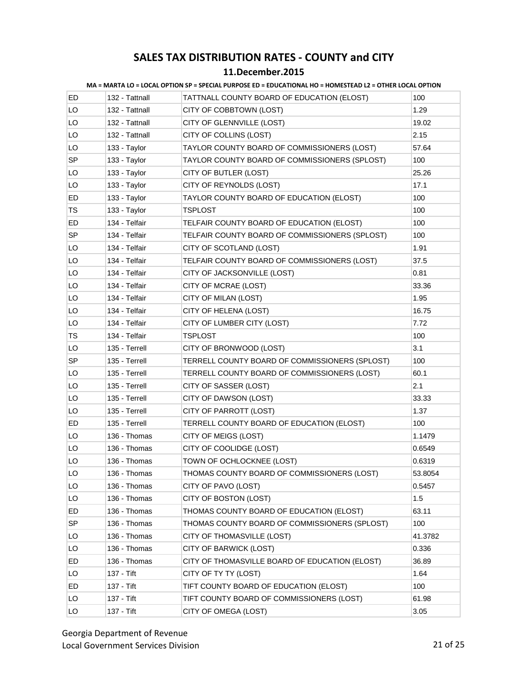#### **11.December.2015**

| ED. | 132 - Tattnall | TATTNALL COUNTY BOARD OF EDUCATION (ELOST)     | 100     |
|-----|----------------|------------------------------------------------|---------|
| LO. | 132 - Tattnall | CITY OF COBBTOWN (LOST)                        | 1.29    |
| LO  | 132 - Tattnall | CITY OF GLENNVILLE (LOST)                      | 19.02   |
| LO  | 132 - Tattnall | CITY OF COLLINS (LOST)                         | 2.15    |
| LO  | 133 - Taylor   | TAYLOR COUNTY BOARD OF COMMISSIONERS (LOST)    | 57.64   |
| SP  | 133 - Taylor   | TAYLOR COUNTY BOARD OF COMMISSIONERS (SPLOST)  | 100     |
| LO  | 133 - Taylor   | CITY OF BUTLER (LOST)                          | 25.26   |
| LO  | 133 - Taylor   | CITY OF REYNOLDS (LOST)                        | 17.1    |
| ED  | 133 - Taylor   | TAYLOR COUNTY BOARD OF EDUCATION (ELOST)       | 100     |
| TS  | 133 - Taylor   | <b>TSPLOST</b>                                 | 100     |
| ED  | 134 - Telfair  | TELFAIR COUNTY BOARD OF EDUCATION (ELOST)      | 100     |
| SP  | 134 - Telfair  | TELFAIR COUNTY BOARD OF COMMISSIONERS (SPLOST) | 100     |
| LO  | 134 - Telfair  | CITY OF SCOTLAND (LOST)                        | 1.91    |
| LO. | 134 - Telfair  | TELFAIR COUNTY BOARD OF COMMISSIONERS (LOST)   | 37.5    |
| LO  | 134 - Telfair  | CITY OF JACKSONVILLE (LOST)                    | 0.81    |
| LO  | 134 - Telfair  | CITY OF MCRAE (LOST)                           | 33.36   |
| LO  | 134 - Telfair  | CITY OF MILAN (LOST)                           | 1.95    |
| LO  | 134 - Telfair  | CITY OF HELENA (LOST)                          | 16.75   |
| LO  | 134 - Telfair  | CITY OF LUMBER CITY (LOST)                     | 7.72    |
| TS  | 134 - Telfair  | <b>TSPLOST</b>                                 | 100     |
| LO  | 135 - Terrell  | CITY OF BRONWOOD (LOST)                        | 3.1     |
| SP  | 135 - Terrell  | TERRELL COUNTY BOARD OF COMMISSIONERS (SPLOST) | 100     |
| LO  | 135 - Terrell  | TERRELL COUNTY BOARD OF COMMISSIONERS (LOST)   | 60.1    |
| LO  | 135 - Terrell  | CITY OF SASSER (LOST)                          | 2.1     |
| LO  | 135 - Terrell  | CITY OF DAWSON (LOST)                          | 33.33   |
| LO  | 135 - Terrell  | CITY OF PARROTT (LOST)                         | 1.37    |
| ED  | 135 - Terrell  | TERRELL COUNTY BOARD OF EDUCATION (ELOST)      | 100     |
| LO  | 136 - Thomas   | CITY OF MEIGS (LOST)                           | 1.1479  |
| LO. | 136 - Thomas   | CITY OF COOLIDGE (LOST)                        | 0.6549  |
| LO  | 136 - Thomas   | TOWN OF OCHLOCKNEE (LOST)                      | 0.6319  |
| LO  | 136 - Thomas   | THOMAS COUNTY BOARD OF COMMISSIONERS (LOST)    | 53.8054 |
| LO  | 136 - Thomas   | CITY OF PAVO (LOST)                            | 0.5457  |
| LO  | 136 - Thomas   | CITY OF BOSTON (LOST)                          | 1.5     |
| ED  | 136 - Thomas   | THOMAS COUNTY BOARD OF EDUCATION (ELOST)       | 63.11   |
| SP  | 136 - Thomas   | THOMAS COUNTY BOARD OF COMMISSIONERS (SPLOST)  | 100     |
| LO  | 136 - Thomas   | CITY OF THOMASVILLE (LOST)                     | 41.3782 |
| LO  | 136 - Thomas   | CITY OF BARWICK (LOST)                         | 0.336   |
| ED  | 136 - Thomas   | CITY OF THOMASVILLE BOARD OF EDUCATION (ELOST) | 36.89   |
| LO  | 137 - Tift     | CITY OF TY TY (LOST)                           | 1.64    |
| ED  | 137 - Tift     | TIFT COUNTY BOARD OF EDUCATION (ELOST)         | 100     |
| LO  | 137 - Tift     | TIFT COUNTY BOARD OF COMMISSIONERS (LOST)      | 61.98   |
| LO  | 137 - Tift     | CITY OF OMEGA (LOST)                           | 3.05    |
|     |                |                                                |         |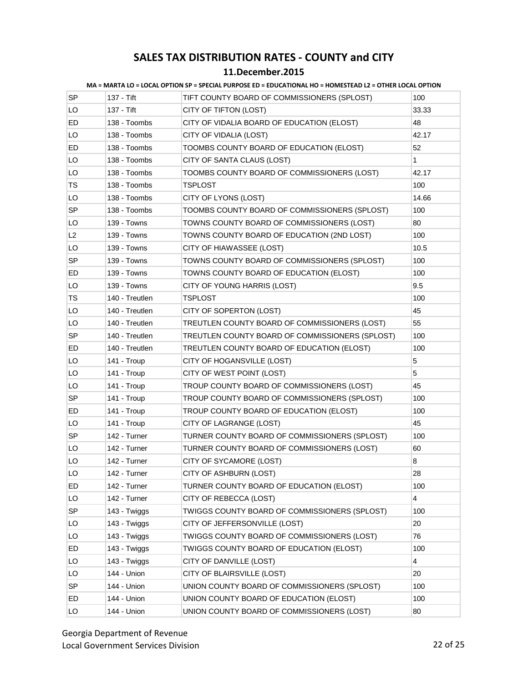|  | MA = MARTA LO = LOCAL OPTION SP = SPECIAL PURPOSE ED = EDUCATIONAL HO = HOMESTEAD L2 = OTHER LOCAL OPTION |
|--|-----------------------------------------------------------------------------------------------------------|

| <b>SP</b> | 137 - Tift     | TIFT COUNTY BOARD OF COMMISSIONERS (SPLOST)     | 100                     |
|-----------|----------------|-------------------------------------------------|-------------------------|
| LO        | 137 - Tift     | CITY OF TIFTON (LOST)                           | 33.33                   |
| ED        | 138 - Toombs   | CITY OF VIDALIA BOARD OF EDUCATION (ELOST)      | 48                      |
| LO        | 138 - Toombs   | CITY OF VIDALIA (LOST)                          | 42.17                   |
| ED        | 138 - Toombs   | TOOMBS COUNTY BOARD OF EDUCATION (ELOST)        | 52                      |
| LO        | 138 - Toombs   | CITY OF SANTA CLAUS (LOST)                      | 1                       |
| LO        | 138 - Toombs   | TOOMBS COUNTY BOARD OF COMMISSIONERS (LOST)     | 42.17                   |
| <b>TS</b> | 138 - Toombs   | TSPLOST                                         | 100                     |
| LO        | 138 - Toombs   | CITY OF LYONS (LOST)                            | 14.66                   |
| SP        | 138 - Toombs   | TOOMBS COUNTY BOARD OF COMMISSIONERS (SPLOST)   | 100                     |
| LO        | 139 - Towns    | TOWNS COUNTY BOARD OF COMMISSIONERS (LOST)      | 80                      |
| L2        | 139 - Towns    | TOWNS COUNTY BOARD OF EDUCATION (2ND LOST)      | 100                     |
| LO        | 139 - Towns    | CITY OF HIAWASSEE (LOST)                        | 10.5                    |
| <b>SP</b> | 139 - Towns    | TOWNS COUNTY BOARD OF COMMISSIONERS (SPLOST)    | 100                     |
| ED        | 139 - Towns    | TOWNS COUNTY BOARD OF EDUCATION (ELOST)         | 100                     |
| LO        | 139 - Towns    | CITY OF YOUNG HARRIS (LOST)                     | 9.5                     |
| TS        | 140 - Treutlen | TSPLOST                                         | 100                     |
| LO        | 140 - Treutlen | CITY OF SOPERTON (LOST)                         | 45                      |
| LO        | 140 - Treutlen | TREUTLEN COUNTY BOARD OF COMMISSIONERS (LOST)   | 55                      |
| <b>SP</b> | 140 - Treutlen | TREUTLEN COUNTY BOARD OF COMMISSIONERS (SPLOST) | 100                     |
| ED        | 140 - Treutlen | TREUTLEN COUNTY BOARD OF EDUCATION (ELOST)      | 100                     |
| LO        | 141 - Troup    | CITY OF HOGANSVILLE (LOST)                      | 5                       |
| LO        | 141 - Troup    | CITY OF WEST POINT (LOST)                       | 5                       |
| LO        | 141 - Troup    | TROUP COUNTY BOARD OF COMMISSIONERS (LOST)      | 45                      |
| SP        | 141 - Troup    | TROUP COUNTY BOARD OF COMMISSIONERS (SPLOST)    | 100                     |
| ED        | 141 - Troup    | TROUP COUNTY BOARD OF EDUCATION (ELOST)         | 100                     |
| LO        | 141 - Troup    | CITY OF LAGRANGE (LOST)                         | 45                      |
| SP        | 142 - Turner   | TURNER COUNTY BOARD OF COMMISSIONERS (SPLOST)   | 100                     |
| LO        | 142 - Turner   | TURNER COUNTY BOARD OF COMMISSIONERS (LOST)     | 60                      |
| LO        | 142 - Turner   | CITY OF SYCAMORE (LOST)                         | 8                       |
| LO        | 142 - Turner   | CITY OF ASHBURN (LOST)                          | 28                      |
| ED        | 142 - Turner   | TURNER COUNTY BOARD OF EDUCATION (ELOST)        | 100                     |
| LO        | 142 - Turner   | CITY OF REBECCA (LOST)                          | $\overline{\mathbf{4}}$ |
| <b>SP</b> | 143 - Twiggs   | TWIGGS COUNTY BOARD OF COMMISSIONERS (SPLOST)   | 100                     |
| LO        | 143 - Twiggs   | CITY OF JEFFERSONVILLE (LOST)                   | 20                      |
| LO        | 143 - Twiggs   | TWIGGS COUNTY BOARD OF COMMISSIONERS (LOST)     | 76                      |
| ED        | 143 - Twiggs   | TWIGGS COUNTY BOARD OF EDUCATION (ELOST)        | 100                     |
| LO        | 143 - Twiggs   | CITY OF DANVILLE (LOST)                         | 4                       |
| LO        | 144 - Union    | CITY OF BLAIRSVILLE (LOST)                      | 20                      |
| <b>SP</b> | 144 - Union    | UNION COUNTY BOARD OF COMMISSIONERS (SPLOST)    | 100                     |
| ED        | 144 - Union    | UNION COUNTY BOARD OF EDUCATION (ELOST)         | 100                     |
| LO        | 144 - Union    | UNION COUNTY BOARD OF COMMISSIONERS (LOST)      | 80                      |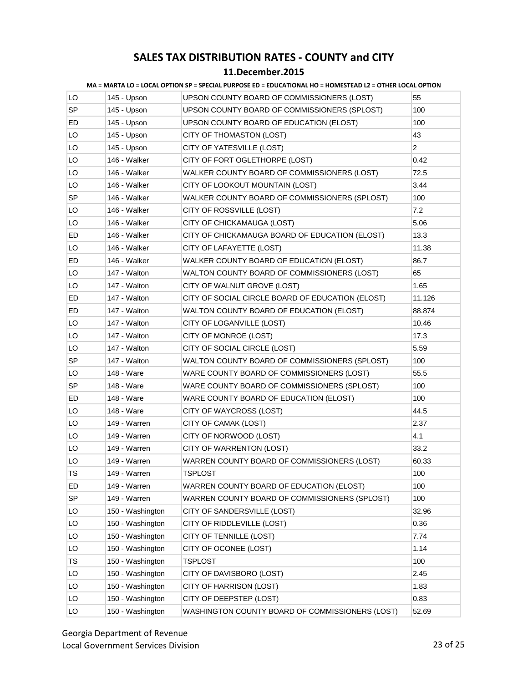| MA = MARTA LO = LOCAL OPTION SP = SPECIAL PURPOSE ED = EDUCATIONAL HO = HOMESTEAD L2 = OTHER LOCAL OPTION |  |
|-----------------------------------------------------------------------------------------------------------|--|
|                                                                                                           |  |

| LO        | 145 - Upson      | UPSON COUNTY BOARD OF COMMISSIONERS (LOST)       | 55             |
|-----------|------------------|--------------------------------------------------|----------------|
| SP        | 145 - Upson      | UPSON COUNTY BOARD OF COMMISSIONERS (SPLOST)     | 100            |
| ED        | 145 - Upson      | UPSON COUNTY BOARD OF EDUCATION (ELOST)          | 100            |
| LO        | 145 - Upson      | CITY OF THOMASTON (LOST)                         | 43             |
| LO        | 145 - Upson      | CITY OF YATESVILLE (LOST)                        | $\overline{2}$ |
| LO        | 146 - Walker     | CITY OF FORT OGLETHORPE (LOST)                   | 0.42           |
| LO        | 146 - Walker     | WALKER COUNTY BOARD OF COMMISSIONERS (LOST)      | 72.5           |
| LO        | 146 - Walker     | CITY OF LOOKOUT MOUNTAIN (LOST)                  | 3.44           |
| SP        | 146 - Walker     | WALKER COUNTY BOARD OF COMMISSIONERS (SPLOST)    | 100            |
| LO        | 146 - Walker     | CITY OF ROSSVILLE (LOST)                         | 7.2            |
| LO        | 146 - Walker     | CITY OF CHICKAMAUGA (LOST)                       | 5.06           |
| ED        | 146 - Walker     | CITY OF CHICKAMAUGA BOARD OF EDUCATION (ELOST)   | 13.3           |
| LO        | 146 - Walker     | CITY OF LAFAYETTE (LOST)                         | 11.38          |
| ED        | 146 - Walker     | WALKER COUNTY BOARD OF EDUCATION (ELOST)         | 86.7           |
| LO        | 147 - Walton     | WALTON COUNTY BOARD OF COMMISSIONERS (LOST)      | 65             |
| LO        | 147 - Walton     | CITY OF WALNUT GROVE (LOST)                      | 1.65           |
| ED        | 147 - Walton     | CITY OF SOCIAL CIRCLE BOARD OF EDUCATION (ELOST) | 11.126         |
| ED        | 147 - Walton     | WALTON COUNTY BOARD OF EDUCATION (ELOST)         | 88.874         |
| LO        | 147 - Walton     | CITY OF LOGANVILLE (LOST)                        | 10.46          |
| LO        | 147 - Walton     | CITY OF MONROE (LOST)                            | 17.3           |
| LO        | 147 - Walton     | CITY OF SOCIAL CIRCLE (LOST)                     | 5.59           |
| SP        | 147 - Walton     | WALTON COUNTY BOARD OF COMMISSIONERS (SPLOST)    | 100            |
| LO        | 148 - Ware       | WARE COUNTY BOARD OF COMMISSIONERS (LOST)        | 55.5           |
| <b>SP</b> | 148 - Ware       | WARE COUNTY BOARD OF COMMISSIONERS (SPLOST)      | 100            |
| ED.       | 148 - Ware       | WARE COUNTY BOARD OF EDUCATION (ELOST)           | 100            |
| LO        | 148 - Ware       | CITY OF WAYCROSS (LOST)                          | 44.5           |
| LO        | 149 - Warren     | CITY OF CAMAK (LOST)                             | 2.37           |
| LO        | 149 - Warren     | CITY OF NORWOOD (LOST)                           | 4.1            |
| LO        | 149 - Warren     | CITY OF WARRENTON (LOST)                         | 33.2           |
| LO        | 149 - Warren     | WARREN COUNTY BOARD OF COMMISSIONERS (LOST)      | 60.33          |
| <b>TS</b> | 149 - Warren     | TSPLOST                                          | 100            |
| ED        | 149 - Warren     | WARREN COUNTY BOARD OF EDUCATION (ELOST)         | 100            |
| SP        | 149 - Warren     | WARREN COUNTY BOARD OF COMMISSIONERS (SPLOST)    | 100            |
| LO        | 150 - Washington | CITY OF SANDERSVILLE (LOST)                      | 32.96          |
| LO        | 150 - Washington | CITY OF RIDDLEVILLE (LOST)                       | 0.36           |
| LO        | 150 - Washington | CITY OF TENNILLE (LOST)                          | 7.74           |
| LO        | 150 - Washington | CITY OF OCONEE (LOST)                            | 1.14           |
| TS        | 150 - Washington | <b>TSPLOST</b>                                   | 100            |
| LO        | 150 - Washington | CITY OF DAVISBORO (LOST)                         | 2.45           |
| LO        | 150 - Washington | CITY OF HARRISON (LOST)                          | 1.83           |
| LO        | 150 - Washington | CITY OF DEEPSTEP (LOST)                          | 0.83           |
| LO        | 150 - Washington | WASHINGTON COUNTY BOARD OF COMMISSIONERS (LOST)  | 52.69          |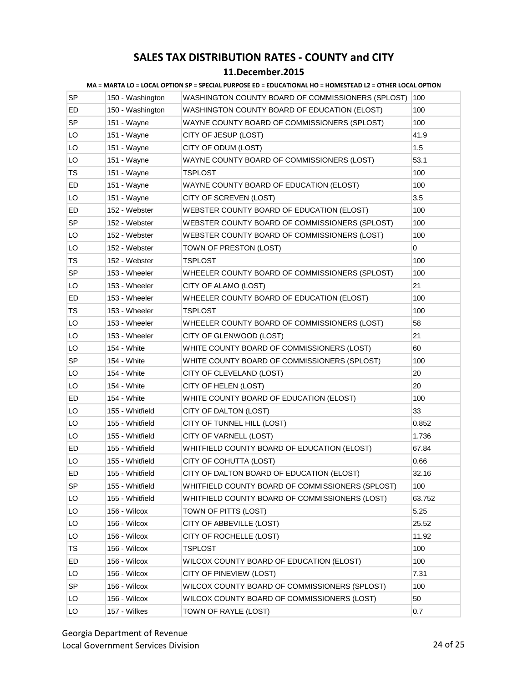#### **11.December.2015**

| SP        | 150 - Washington | WASHINGTON COUNTY BOARD OF COMMISSIONERS (SPLOST) | 100    |
|-----------|------------------|---------------------------------------------------|--------|
| ED        | 150 - Washington | WASHINGTON COUNTY BOARD OF EDUCATION (ELOST)      | 100    |
| SP        | 151 - Wayne      | WAYNE COUNTY BOARD OF COMMISSIONERS (SPLOST)      | 100    |
| LO        | 151 - Wayne      | CITY OF JESUP (LOST)                              | 41.9   |
| LO        | 151 - Wayne      | CITY OF ODUM (LOST)                               | 1.5    |
| LO        | 151 - Wayne      | WAYNE COUNTY BOARD OF COMMISSIONERS (LOST)        | 53.1   |
| TS        | 151 - Wayne      | TSPLOST                                           | 100    |
| ED        | 151 - Wayne      | WAYNE COUNTY BOARD OF EDUCATION (ELOST)           | 100    |
| LO        | 151 - Wayne      | CITY OF SCREVEN (LOST)                            | 3.5    |
| ED        | 152 - Webster    | WEBSTER COUNTY BOARD OF EDUCATION (ELOST)         | 100    |
| SP        | 152 - Webster    | WEBSTER COUNTY BOARD OF COMMISSIONERS (SPLOST)    | 100    |
| LO        | 152 - Webster    | WEBSTER COUNTY BOARD OF COMMISSIONERS (LOST)      | 100    |
| LO        | 152 - Webster    | TOWN OF PRESTON (LOST)                            | 0      |
| TS        | 152 - Webster    | <b>TSPLOST</b>                                    | 100    |
| <b>SP</b> | 153 - Wheeler    | WHEELER COUNTY BOARD OF COMMISSIONERS (SPLOST)    | 100    |
| LO        | 153 - Wheeler    | CITY OF ALAMO (LOST)                              | 21     |
| ED        | 153 - Wheeler    | WHEELER COUNTY BOARD OF EDUCATION (ELOST)         | 100    |
| TS        | 153 - Wheeler    | TSPLOST                                           | 100    |
| LO        | 153 - Wheeler    | WHEELER COUNTY BOARD OF COMMISSIONERS (LOST)      | 58     |
| LO        | 153 - Wheeler    | CITY OF GLENWOOD (LOST)                           | 21     |
| LO        | 154 - White      | WHITE COUNTY BOARD OF COMMISSIONERS (LOST)        | 60     |
| <b>SP</b> | 154 - White      | WHITE COUNTY BOARD OF COMMISSIONERS (SPLOST)      | 100    |
| LO        | 154 - White      | CITY OF CLEVELAND (LOST)                          | 20     |
| LO        | 154 - White      | CITY OF HELEN (LOST)                              | 20     |
| ED        | 154 - White      | WHITE COUNTY BOARD OF EDUCATION (ELOST)           | 100    |
| LO        | 155 - Whitfield  | CITY OF DALTON (LOST)                             | 33     |
| LO        | 155 - Whitfield  | CITY OF TUNNEL HILL (LOST)                        | 0.852  |
| LO        | 155 - Whitfield  | CITY OF VARNELL (LOST)                            | 1.736  |
| ED.       | 155 - Whitfield  | WHITFIELD COUNTY BOARD OF EDUCATION (ELOST)       | 67.84  |
| LO        | 155 - Whitfield  | CITY OF COHUTTA (LOST)                            | 0.66   |
| ED        | 155 - Whitfield  | CITY OF DALTON BOARD OF EDUCATION (ELOST)         | 32.16  |
| SP        | 155 - Whitfield  | WHITFIELD COUNTY BOARD OF COMMISSIONERS (SPLOST)  | 100    |
| LO        | 155 - Whitfield  | WHITFIELD COUNTY BOARD OF COMMISSIONERS (LOST)    | 63.752 |
| LO        | 156 - Wilcox     | TOWN OF PITTS (LOST)                              | 5.25   |
| LO        | 156 - Wilcox     | CITY OF ABBEVILLE (LOST)                          | 25.52  |
| LO        | 156 - Wilcox     | CITY OF ROCHELLE (LOST)                           | 11.92  |
| TS        | 156 - Wilcox     | <b>TSPLOST</b>                                    | 100    |
| ED        | 156 - Wilcox     | WILCOX COUNTY BOARD OF EDUCATION (ELOST)          | 100    |
| LO        | 156 - Wilcox     | CITY OF PINEVIEW (LOST)                           | 7.31   |
| SP        | 156 - Wilcox     | WILCOX COUNTY BOARD OF COMMISSIONERS (SPLOST)     | 100    |
| LO        | 156 - Wilcox     | WILCOX COUNTY BOARD OF COMMISSIONERS (LOST)       | 50     |
| LO        | 157 - Wilkes     | TOWN OF RAYLE (LOST)                              | 0.7    |